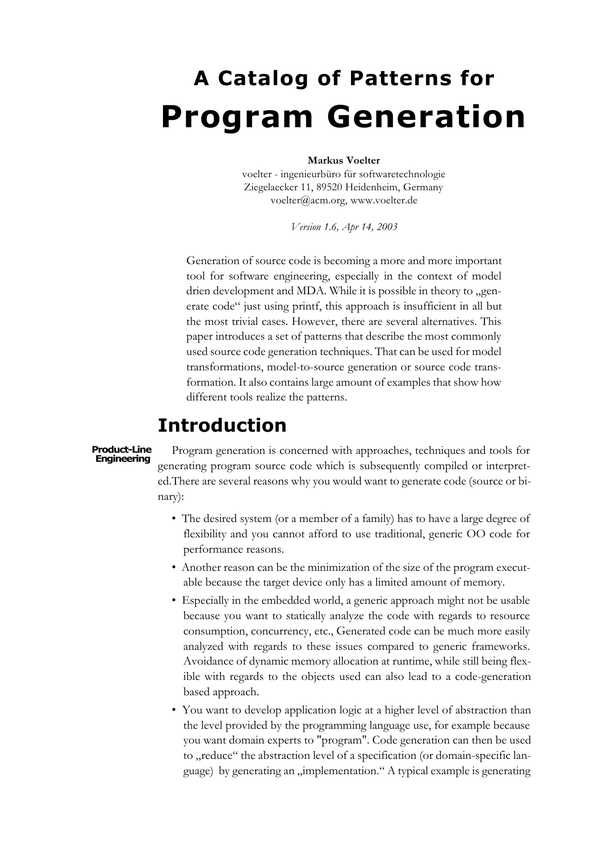# **A Catalog of Patterns for Program Generation**

#### **Markus Voelter**

voelter - ingenieurbüro für softwaretechnologie Ziegelaecker 11, 89520 Heidenheim, Germany voelter@acm.org, www.voelter.de

*Version 1.6, Apr 14, 2003*

Generation of source code is becoming a more and more important tool for software engineering, especially in the context of model drien development and MDA. While it is possible in theory to "generate code" just using printf, this approach is insufficient in all but the most trivial cases. However, there are several alternatives. This paper introduces a set of patterns that describe the most commonly used source code generation techniques. That can be used for model transformations, model-to-source generation or source code transformation. It also contains large amount of examples that show how different tools realize the patterns.

# **Introduction**

#### **Product-Line Engineering**

Program generation is concerned with approaches, techniques and tools for generating program source code which is subsequently compiled or interpreted.There are several reasons why you would want to generate code (source or binary):

- The desired system (or a member of a family) has to have a large degree of flexibility and you cannot afford to use traditional, generic OO code for performance reasons.
- Another reason can be the minimization of the size of the program executable because the target device only has a limited amount of memory.
- Especially in the embedded world, a generic approach might not be usable because you want to statically analyze the code with regards to resource consumption, concurrency, etc., Generated code can be much more easily analyzed with regards to these issues compared to generic frameworks. Avoidance of dynamic memory allocation at runtime, while still being flexible with regards to the objects used can also lead to a code-generation based approach.
- You want to develop application logic at a higher level of abstraction than the level provided by the programming language use, for example because you want domain experts to "program". Code generation can then be used to "reduce" the abstraction level of a specification (or domain-specific language) by generating an "implementation." A typical example is generating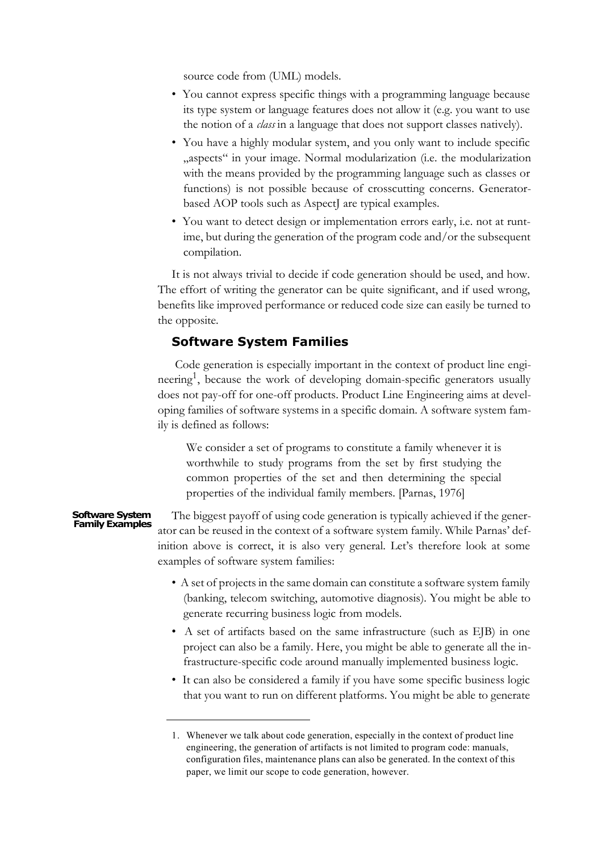source code from (UML) models.

- You cannot express specific things with a programming language because its type system or language features does not allow it (e.g. you want to use the notion of a *class* in a language that does not support classes natively).
- You have a highly modular system, and you only want to include specific "aspects" in your image. Normal modularization (i.e. the modularization with the means provided by the programming language such as classes or functions) is not possible because of crosscutting concerns. Generatorbased AOP tools such as AspectJ are typical examples.
- You want to detect design or implementation errors early, i.e. not at runtime, but during the generation of the program code and/or the subsequent compilation.

It is not always trivial to decide if code generation should be used, and how. The effort of writing the generator can be quite significant, and if used wrong, benefits like improved performance or reduced code size can easily be turned to the opposite.

### **Software System Families**

 Code generation is especially important in the context of product line engineering<sup>1</sup>, because the work of developing domain-specific generators usually does not pay-off for one-off products. Product Line Engineering aims at developing families of software systems in a specific domain. A software system family is defined as follows:

We consider a set of programs to constitute a family whenever it is worthwhile to study programs from the set by first studying the common properties of the set and then determining the special properties of the individual family members. [Parnas, 1976]

#### The biggest payoff of using code generation is typically achieved if the generator can be reused in the context of a software system family. While Parnas' definition above is correct, it is also very general. Let's therefore look at some examples of software system families: **Software System Family Examples**

- A set of projects in the same domain can constitute a software system family (banking, telecom switching, automotive diagnosis). You might be able to generate recurring business logic from models.
- A set of artifacts based on the same infrastructure (such as EJB) in one project can also be a family. Here, you might be able to generate all the infrastructure-specific code around manually implemented business logic.
- It can also be considered a family if you have some specific business logic that you want to run on different platforms. You might be able to generate

<sup>1.</sup> Whenever we talk about code generation, especially in the context of product line engineering, the generation of artifacts is not limited to program code: manuals, configuration files, maintenance plans can also be generated. In the context of this paper, we limit our scope to code generation, however.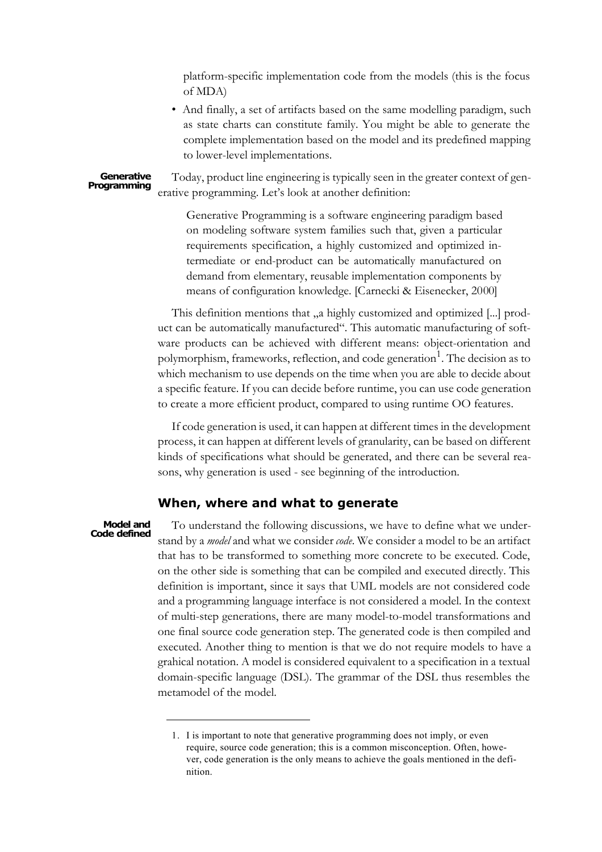platform-specific implementation code from the models (this is the focus of MDA)

• And finally, a set of artifacts based on the same modelling paradigm, such as state charts can constitute family. You might be able to generate the complete implementation based on the model and its predefined mapping to lower-level implementations.

Today, product line engineering is typically seen in the greater context of generative programming. Let's look at another definition: **Generative Programming**

> Generative Programming is a software engineering paradigm based on modeling software system families such that, given a particular requirements specification, a highly customized and optimized intermediate or end-product can be automatically manufactured on demand from elementary, reusable implementation components by means of configuration knowledge. [Carnecki & Eisenecker, 2000]

This definition mentions that , a highly customized and optimized [...] product can be automatically manufactured". This automatic manufacturing of software products can be achieved with different means: object-orientation and polymorphism, frameworks, reflection, and code generation<sup>1</sup>. The decision as to which mechanism to use depends on the time when you are able to decide about a specific feature. If you can decide before runtime, you can use code generation to create a more efficient product, compared to using runtime OO features.

If code generation is used, it can happen at different times in the development process, it can happen at different levels of granularity, can be based on different kinds of specifications what should be generated, and there can be several reasons, why generation is used - see beginning of the introduction.

### **When, where and what to generate**

#### **Model and Code defined**

To understand the following discussions, we have to define what we understand by a *model* and what we consider *code*. We consider a model to be an artifact that has to be transformed to something more concrete to be executed. Code, on the other side is something that can be compiled and executed directly. This definition is important, since it says that UML models are not considered code and a programming language interface is not considered a model. In the context of multi-step generations, there are many model-to-model transformations and one final source code generation step. The generated code is then compiled and executed. Another thing to mention is that we do not require models to have a grahical notation. A model is considered equivalent to a specification in a textual domain-specific language (DSL). The grammar of the DSL thus resembles the metamodel of the model.

<sup>1.</sup> I is important to note that generative programming does not imply, or even require, source code generation; this is a common misconception. Often, however, code generation is the only means to achieve the goals mentioned in the definition.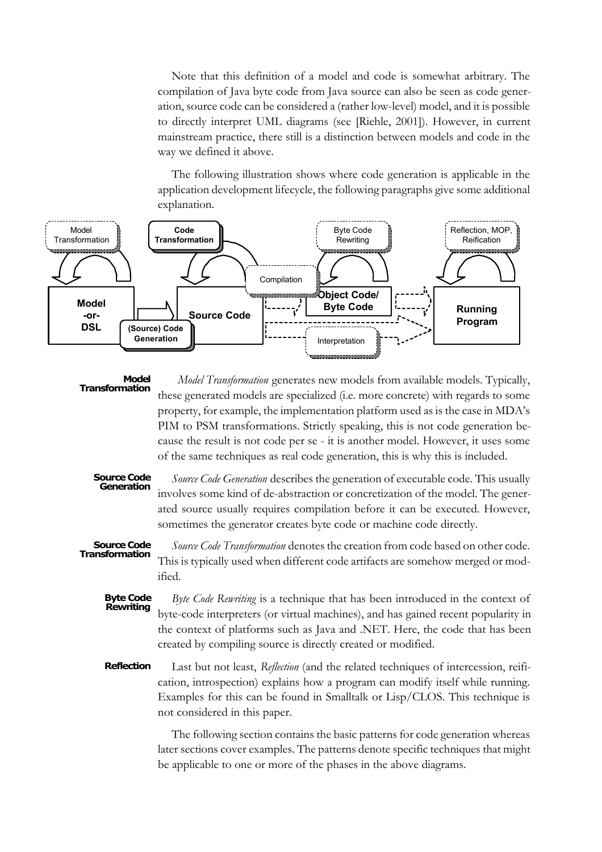Note that this definition of a model and code is somewhat arbitrary. The compilation of Java byte code from Java source can also be seen as code generation, source code can be considered a (rather low-level) model, and it is possible to directly interpret UML diagrams (see [Riehle, 2001]). However, in current mainstream practice, there still is a distinction between models and code in the way we defined it above.

The following illustration shows where code generation is applicable in the application development lifecycle, the following paragraphs give some additional explanation.



 *Model Transformation* generates new models from available models. Typically, these generated models are specialized (i.e. more concrete) with regards to some property, for example, the implementation platform used as is the case in MDA's PIM to PSM transformations. Strictly speaking, this is not code generation because the result is not code per se - it is another model. However, it uses some of the same techniques as real code generation, this is why this is included. **Model Transformation**

#### **Source Code Generation**

*Source Code Generation* describes the generation of executable code. This usually involves some kind of de-abstraction or concretization of the model. The generated source usually requires compilation before it can be executed. However, sometimes the generator creates byte code or machine code directly.

#### *Source Code Transformation* denotes the creation from code based on other code. This is typically used when different code artifacts are somehow merged or modified. **Source Code Transformation**

- *Byte Code Rewriting* is a technique that has been introduced in the context of byte-code interpreters (or virtual machines), and has gained recent popularity in the context of platforms such as Java and .NET. Here, the code that has been created by compiling source is directly created or modified. **Byte Code Rewriting**
- Last but not least, *Reflection* (and the related techniques of intercession, reification, introspection) explains how a program can modify itself while running. Examples for this can be found in Smalltalk or Lisp/CLOS. This technique is not considered in this paper. **Reflection**

The following section contains the basic patterns for code generation whereas later sections cover examples. The patterns denote specific techniques that might be applicable to one or more of the phases in the above diagrams.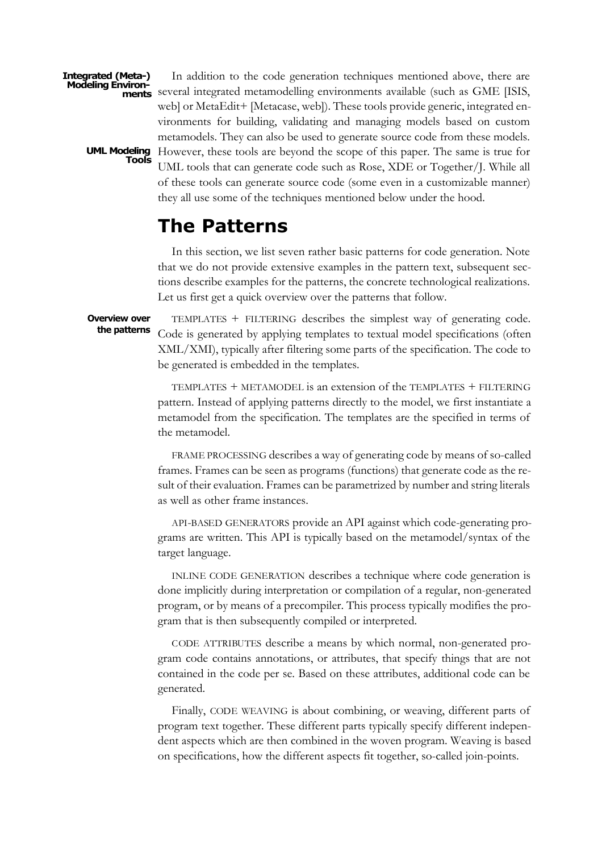**Integrated (Meta-) Modeling Environ-**

> **UML Modeling Tools**

In addition to the code generation techniques mentioned above, there are several integrated metamodelling environments available (such as GME [ISIS, **ments** web] or MetaEdit+ [Metacase, web]). These tools provide generic, integrated environments for building, validating and managing models based on custom metamodels. They can also be used to generate source code from these models. However, these tools are beyond the scope of this paper. The same is true for UML tools that can generate code such as Rose, XDE or Together/J. While all of these tools can generate source code (some even in a customizable manner) they all use some of the techniques mentioned below under the hood.

# **The Patterns**

In this section, we list seven rather basic patterns for code generation. Note that we do not provide extensive examples in the pattern text, subsequent sections describe examples for the patterns, the concrete technological realizations. Let us first get a quick overview over the patterns that follow.

**Overview over the patterns**

TEMPLATES + FILTERING describes the simplest way of generating code. Code is generated by applying templates to textual model specifications (often XML/XMI), typically after filtering some parts of the specification. The code to be generated is embedded in the templates.

TEMPLATES + METAMODEL is an extension of the TEMPLATES + FILTERING pattern. Instead of applying patterns directly to the model, we first instantiate a metamodel from the specification. The templates are the specified in terms of the metamodel.

FRAME PROCESSING describes a way of generating code by means of so-called frames. Frames can be seen as programs (functions) that generate code as the result of their evaluation. Frames can be parametrized by number and string literals as well as other frame instances.

API-BASED GENERATORS provide an API against which code-generating programs are written. This API is typically based on the metamodel/syntax of the target language.

INLINE CODE GENERATION describes a technique where code generation is done implicitly during interpretation or compilation of a regular, non-generated program, or by means of a precompiler. This process typically modifies the program that is then subsequently compiled or interpreted.

CODE ATTRIBUTES describe a means by which normal, non-generated program code contains annotations, or attributes, that specify things that are not contained in the code per se. Based on these attributes, additional code can be generated.

Finally, CODE WEAVING is about combining, or weaving, different parts of program text together. These different parts typically specify different independent aspects which are then combined in the woven program. Weaving is based on specifications, how the different aspects fit together, so-called join-points.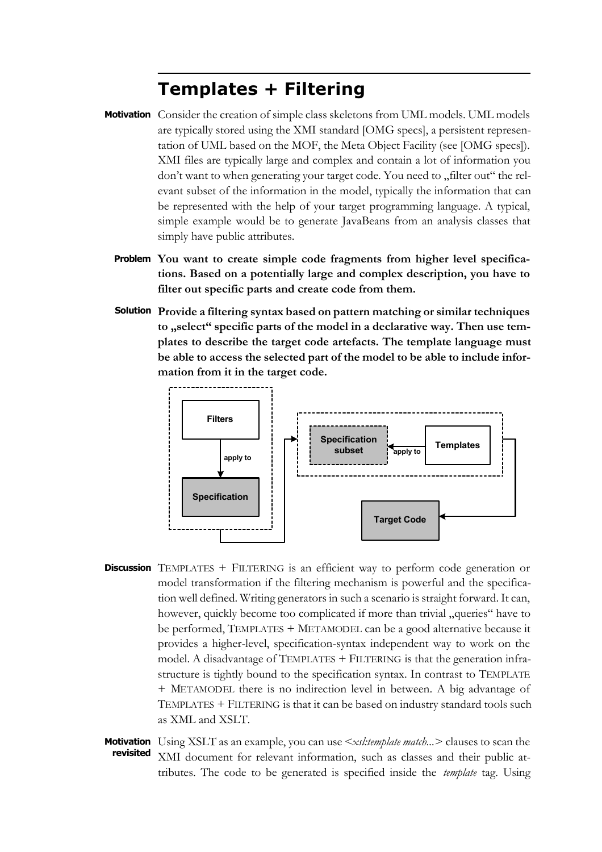# **Templates + Filtering**

- Motivation Consider the creation of simple class skeletons from UML models. UML models are typically stored using the XMI standard [OMG specs], a persistent representation of UML based on the MOF, the Meta Object Facility (see [OMG specs]). XMI files are typically large and complex and contain a lot of information you don't want to when generating your target code. You need to ..filter out" the relevant subset of the information in the model, typically the information that can be represented with the help of your target programming language. A typical, simple example would be to generate JavaBeans from an analysis classes that simply have public attributes.
	- **You want to create simple code fragments from higher level specifica-Problem tions. Based on a potentially large and complex description, you have to filter out specific parts and create code from them.**
	- **Provide a filtering syntax based on pattern matching or similar techniques Solution** to **"select**" specific parts of the model in a declarative way. Then use tem**plates to describe the target code artefacts. The template language must be able to access the selected part of the model to be able to include information from it in the target code.**



- **Discussion** TEMPLATES + FILTERING is an efficient way to perform code generation or model transformation if the filtering mechanism is powerful and the specification well defined. Writing generators in such a scenario is straight forward. It can, however, quickly become too complicated if more than trivial "queries" have to be performed, TEMPLATES + METAMODEL can be a good alternative because it provides a higher-level, specification-syntax independent way to work on the model. A disadvantage of TEMPLATES + FILTERING is that the generation infrastructure is tightly bound to the specification syntax. In contrast to TEMPLATE + METAMODEL there is no indirection level in between. A big advantage of TEMPLATES + FILTERING is that it can be based on industry standard tools such as XML and XSLT.
- Using XSLT as an example, you can use *<xsl:template match...>* clauses to scan the **Motivation** XMI document for relevant information, such as classes and their public attributes. The code to be generated is specified inside the *template* tag. Using **revisited**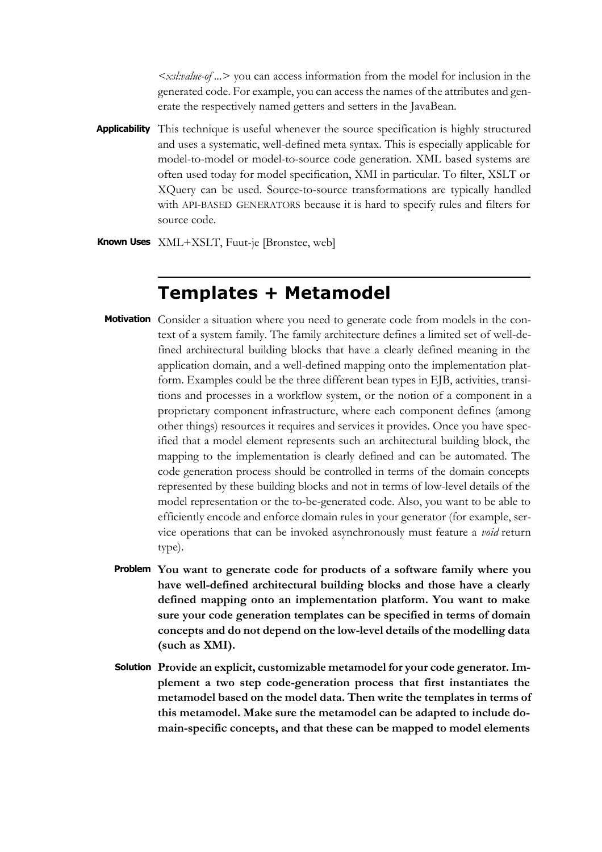*<xsl:value-of ...>* you can access information from the model for inclusion in the generated code. For example, you can access the names of the attributes and generate the respectively named getters and setters in the JavaBean.

- Applicability This technique is useful whenever the source specification is highly structured and uses a systematic, well-defined meta syntax. This is especially applicable for model-to-model or model-to-source code generation. XML based systems are often used today for model specification, XMI in particular. To filter, XSLT or XQuery can be used. Source-to-source transformations are typically handled with API-BASED GENERATORS because it is hard to specify rules and filters for source code.
- **Known Uses** XML+XSLT, Fuut-je [Bronstee, web]

### **Templates + Metamodel**

- Motivation Consider a situation where you need to generate code from models in the context of a system family. The family architecture defines a limited set of well-defined architectural building blocks that have a clearly defined meaning in the application domain, and a well-defined mapping onto the implementation platform. Examples could be the three different bean types in EJB, activities, transitions and processes in a workflow system, or the notion of a component in a proprietary component infrastructure, where each component defines (among other things) resources it requires and services it provides. Once you have specified that a model element represents such an architectural building block, the mapping to the implementation is clearly defined and can be automated. The code generation process should be controlled in terms of the domain concepts represented by these building blocks and not in terms of low-level details of the model representation or the to-be-generated code. Also, you want to be able to efficiently encode and enforce domain rules in your generator (for example, service operations that can be invoked asynchronously must feature a *void* return type).
	- **You want to generate code for products of a software family where you Problem have well-defined architectural building blocks and those have a clearly defined mapping onto an implementation platform. You want to make sure your code generation templates can be specified in terms of domain concepts and do not depend on the low-level details of the modelling data (such as XMI).**
	- **Provide an explicit, customizable metamodel for your code generator. Im-Solutionplement a two step code-generation process that first instantiates the metamodel based on the model data. Then write the templates in terms of this metamodel. Make sure the metamodel can be adapted to include domain-specific concepts, and that these can be mapped to model elements**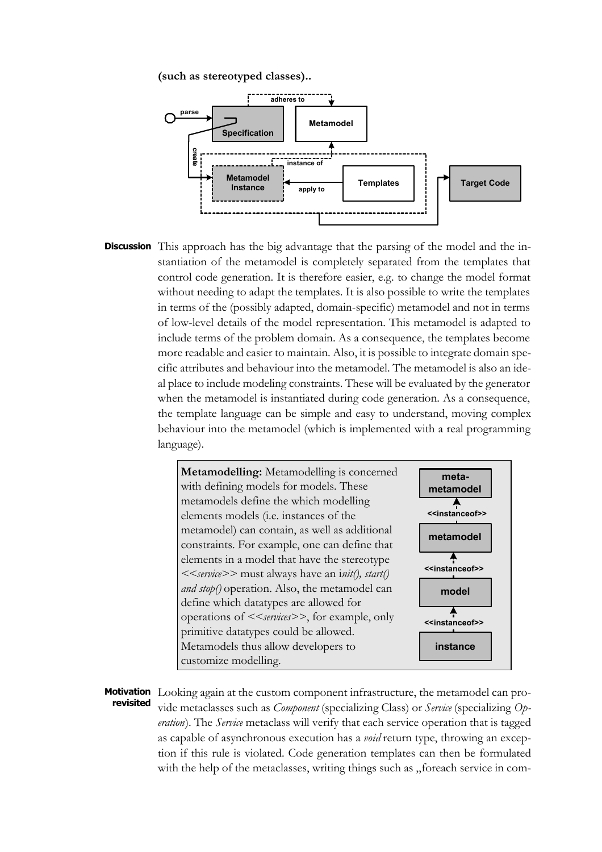**(such as stereotyped classes)..**



**Discussion** This approach has the big advantage that the parsing of the model and the instantiation of the metamodel is completely separated from the templates that control code generation. It is therefore easier, e.g. to change the model format without needing to adapt the templates. It is also possible to write the templates in terms of the (possibly adapted, domain-specific) metamodel and not in terms of low-level details of the model representation. This metamodel is adapted to include terms of the problem domain. As a consequence, the templates become more readable and easier to maintain. Also, it is possible to integrate domain specific attributes and behaviour into the metamodel. The metamodel is also an ideal place to include modeling constraints. These will be evaluated by the generator when the metamodel is instantiated during code generation. As a consequence, the template language can be simple and easy to understand, moving complex behaviour into the metamodel (which is implemented with a real programming language).



Motivation Looking again at the custom component infrastructure, the metamodel can provide metaclasses such as *Component* (specializing Class) or *Service* (specializing *Operation*). The *Service* metaclass will verify that each service operation that is tagged as capable of asynchronous execution has a *void* return type, throwing an exception if this rule is violated. Code generation templates can then be formulated with the help of the metaclasses, writing things such as "foreach service in com**revisited**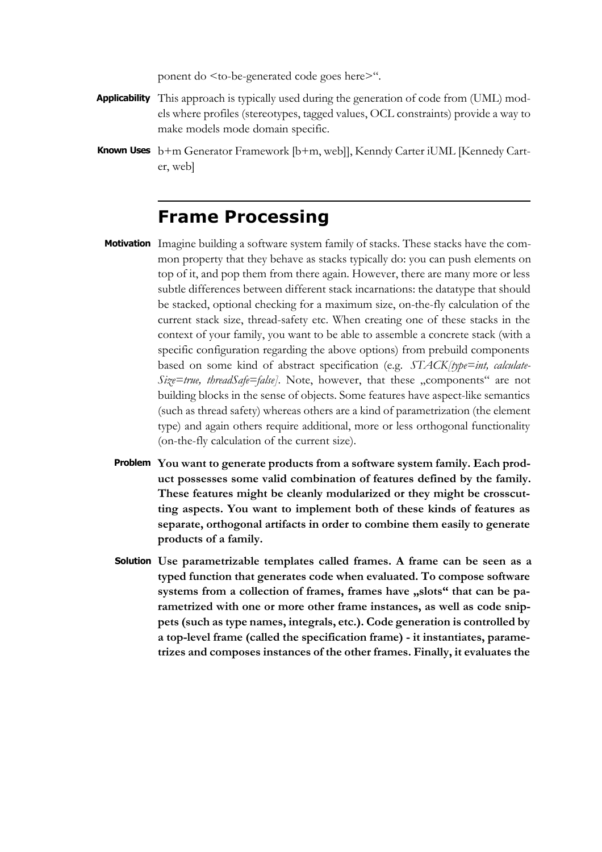ponent do <to-be-generated code goes here>".

- Applicability This approach is typically used during the generation of code from (UML) models where profiles (stereotypes, tagged values, OCL constraints) provide a way to make models mode domain specific.
- b+m Generator Framework [b+m, web]], Kenndy Carter iUML [Kennedy Cart-**Known Uses** er, web]

### **Frame Processing**

- Motivation Imagine building a software system family of stacks. These stacks have the common property that they behave as stacks typically do: you can push elements on top of it, and pop them from there again. However, there are many more or less subtle differences between different stack incarnations: the datatype that should be stacked, optional checking for a maximum size, on-the-fly calculation of the current stack size, thread-safety etc. When creating one of these stacks in the context of your family, you want to be able to assemble a concrete stack (with a specific configuration regarding the above options) from prebuild components based on some kind of abstract specification (e.g. *STACK[type=int, calculate-Size=true, threadSafe=false]*. Note, however, that these "components" are not building blocks in the sense of objects. Some features have aspect-like semantics (such as thread safety) whereas others are a kind of parametrization (the element type) and again others require additional, more or less orthogonal functionality (on-the-fly calculation of the current size).
	- **You want to generate products from a software system family. Each prod-Problem uct possesses some valid combination of features defined by the family. These features might be cleanly modularized or they might be crosscutting aspects. You want to implement both of these kinds of features as separate, orthogonal artifacts in order to combine them easily to generate products of a family.**
	- **Use parametrizable templates called frames. A frame can be seen as a Solutiontyped function that generates code when evaluated. To compose software** systems from a collection of frames, frames have "slots" that can be pa**rametrized with one or more other frame instances, as well as code snippets (such as type names, integrals, etc.). Code generation is controlled by a top-level frame (called the specification frame) - it instantiates, parametrizes and composes instances of the other frames. Finally, it evaluates the**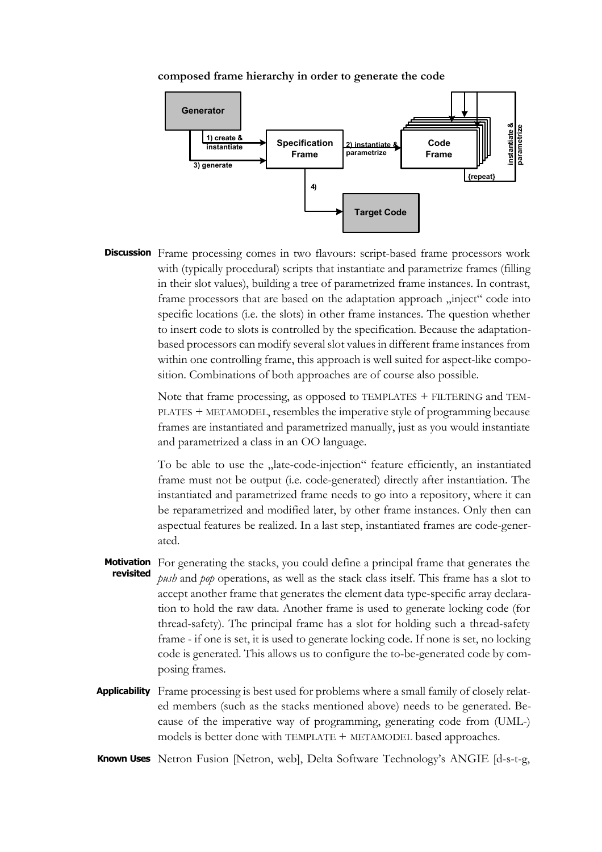#### **composed frame hierarchy in order to generate the code**



**Discussion** Frame processing comes in two flavours: script-based frame processors work with (typically procedural) scripts that instantiate and parametrize frames (filling in their slot values), building a tree of parametrized frame instances. In contrast, frame processors that are based on the adaptation approach "inject" code into specific locations (i.e. the slots) in other frame instances. The question whether to insert code to slots is controlled by the specification. Because the adaptationbased processors can modify several slot values in different frame instances from within one controlling frame, this approach is well suited for aspect-like composition. Combinations of both approaches are of course also possible.

> Note that frame processing, as opposed to TEMPLATES + FILTERING and TEM-PLATES + METAMODEL, resembles the imperative style of programming because frames are instantiated and parametrized manually, just as you would instantiate and parametrized a class in an OO language.

> To be able to use the "late-code-injection" feature efficiently, an instantiated frame must not be output (i.e. code-generated) directly after instantiation. The instantiated and parametrized frame needs to go into a repository, where it can be reparametrized and modified later, by other frame instances. Only then can aspectual features be realized. In a last step, instantiated frames are code-generated.

- Motivation For generating the stacks, you could define a principal frame that generates the *push* and *pop* operations, as well as the stack class itself. This frame has a slot to accept another frame that generates the element data type-specific array declaration to hold the raw data. Another frame is used to generate locking code (for thread-safety). The principal frame has a slot for holding such a thread-safety frame - if one is set, it is used to generate locking code. If none is set, no locking code is generated. This allows us to configure the to-be-generated code by composing frames. **revisited**
- Applicability Frame processing is best used for problems where a small family of closely related members (such as the stacks mentioned above) needs to be generated. Because of the imperative way of programming, generating code from (UML-) models is better done with TEMPLATE + METAMODEL based approaches.

Known Uses Netron Fusion [Netron, web], Delta Software Technology's ANGIE [d-s-t-g,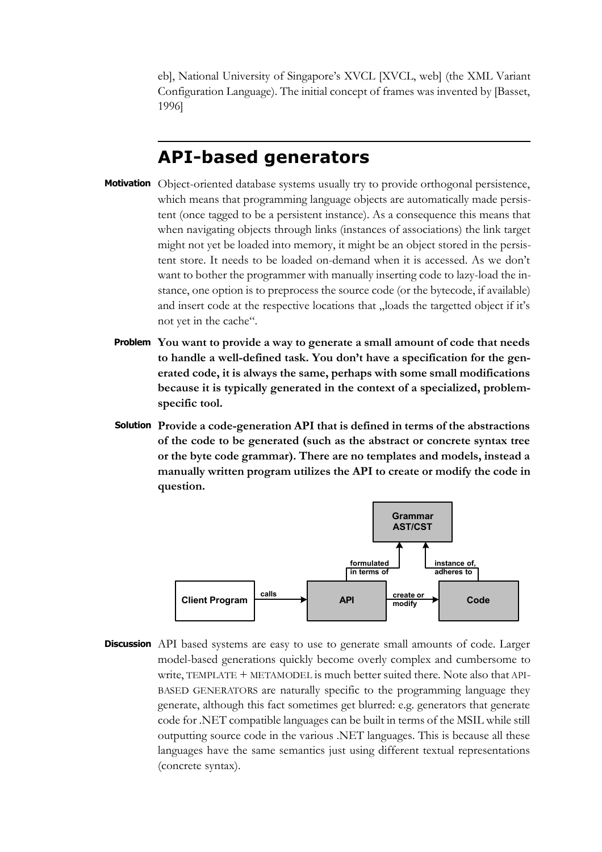eb], National University of Singapore's XVCL [XVCL, web] (the XML Variant Configuration Language). The initial concept of frames was invented by [Basset, 1996]

## **API-based generators**

- Motivation Object-oriented database systems usually try to provide orthogonal persistence, which means that programming language objects are automatically made persistent (once tagged to be a persistent instance). As a consequence this means that when navigating objects through links (instances of associations) the link target might not yet be loaded into memory, it might be an object stored in the persistent store. It needs to be loaded on-demand when it is accessed. As we don't want to bother the programmer with manually inserting code to lazy-load the instance, one option is to preprocess the source code (or the bytecode, if available) and insert code at the respective locations that "loads the targetted object if it's not yet in the cache".
	- **You want to provide a way to generate a small amount of code that needs Problem to handle a well-defined task. You don't have a specification for the generated code, it is always the same, perhaps with some small modifications because it is typically generated in the context of a specialized, problemspecific tool.**
	- **Provide a code-generation API that is defined in terms of the abstractions Solution of the code to be generated (such as the abstract or concrete syntax tree or the byte code grammar). There are no templates and models, instead a manually written program utilizes the API to create or modify the code in question.**



**Discussion** API based systems are easy to use to generate small amounts of code. Larger model-based generations quickly become overly complex and cumbersome to write, TEMPLATE + METAMODEL is much better suited there. Note also that API-BASED GENERATORS are naturally specific to the programming language they generate, although this fact sometimes get blurred: e.g. generators that generate code for .NET compatible languages can be built in terms of the MSIL while still outputting source code in the various .NET languages. This is because all these languages have the same semantics just using different textual representations (concrete syntax).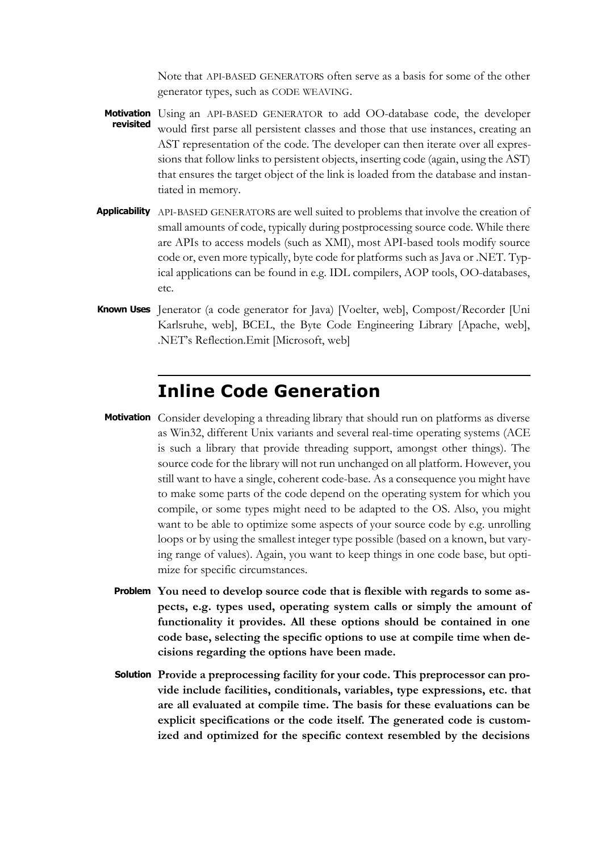Note that API-BASED GENERATORS often serve as a basis for some of the other generator types, such as CODE WEAVING.

- Using an API-BASED GENERATOR to add OO-database code, the developer would first parse all persistent classes and those that use instances, creating an AST representation of the code. The developer can then iterate over all expressions that follow links to persistent objects, inserting code (again, using the AST) that ensures the target object of the link is loaded from the database and instantiated in memory. **Motivation revisited**
- **Applicability** API-BASED GENERATORS are well suited to problems that involve the creation of small amounts of code, typically during postprocessing source code. While there are APIs to access models (such as XMI), most API-based tools modify source code or, even more typically, byte code for platforms such as Java or .NET. Typical applications can be found in e.g. IDL compilers, AOP tools, OO-databases, etc.
- Known Uses Jenerator (a code generator for Java) [Voelter, web], Compost/Recorder [Uni Karlsruhe, web], BCEL, the Byte Code Engineering Library [Apache, web], .NET's Reflection.Emit [Microsoft, web]

### **Inline Code Generation**

- Motivation Consider developing a threading library that should run on platforms as diverse as Win32, different Unix variants and several real-time operating systems (ACE is such a library that provide threading support, amongst other things). The source code for the library will not run unchanged on all platform. However, you still want to have a single, coherent code-base. As a consequence you might have to make some parts of the code depend on the operating system for which you compile, or some types might need to be adapted to the OS. Also, you might want to be able to optimize some aspects of your source code by e.g. unrolling loops or by using the smallest integer type possible (based on a known, but varying range of values). Again, you want to keep things in one code base, but optimize for specific circumstances.
	- **You need to develop source code that is flexible with regards to some as-Problem pects, e.g. types used, operating system calls or simply the amount of functionality it provides. All these options should be contained in one code base, selecting the specific options to use at compile time when decisions regarding the options have been made.**
	- **Provide a preprocessing facility for your code. This preprocessor can pro-Solutionvide include facilities, conditionals, variables, type expressions, etc. that are all evaluated at compile time. The basis for these evaluations can be explicit specifications or the code itself. The generated code is customized and optimized for the specific context resembled by the decisions**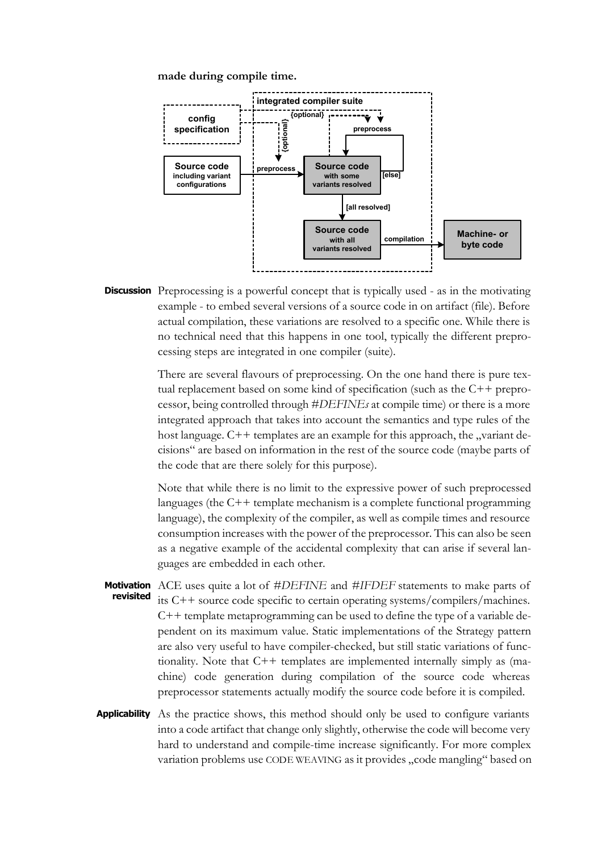**made during compile time.**



**Discussion** Preprocessing is a powerful concept that is typically used - as in the motivating example - to embed several versions of a source code in on artifact (file). Before actual compilation, these variations are resolved to a specific one. While there is no technical need that this happens in one tool, typically the different preprocessing steps are integrated in one compiler (suite).

> There are several flavours of preprocessing. On the one hand there is pure textual replacement based on some kind of specification (such as the C++ preprocessor, being controlled through *#DEFINEs* at compile time) or there is a more integrated approach that takes into account the semantics and type rules of the host language.  $C++$  templates are an example for this approach, the "variant decisions" are based on information in the rest of the source code (maybe parts of the code that are there solely for this purpose).

> Note that while there is no limit to the expressive power of such preprocessed languages (the C++ template mechanism is a complete functional programming language), the complexity of the compiler, as well as compile times and resource consumption increases with the power of the preprocessor. This can also be seen as a negative example of the accidental complexity that can arise if several languages are embedded in each other.

- ACE uses quite a lot of *#DEFINE* and *#IFDEF* statements to make parts of its C++ source code specific to certain operating systems/compilers/machines. C++ template metaprogramming can be used to define the type of a variable dependent on its maximum value. Static implementations of the Strategy pattern are also very useful to have compiler-checked, but still static variations of functionality. Note that C++ templates are implemented internally simply as (machine) code generation during compilation of the source code whereas preprocessor statements actually modify the source code before it is compiled. **Motivation revisited**
- Applicability As the practice shows, this method should only be used to configure variants into a code artifact that change only slightly, otherwise the code will become very hard to understand and compile-time increase significantly. For more complex variation problems use CODE WEAVING as it provides "code mangling" based on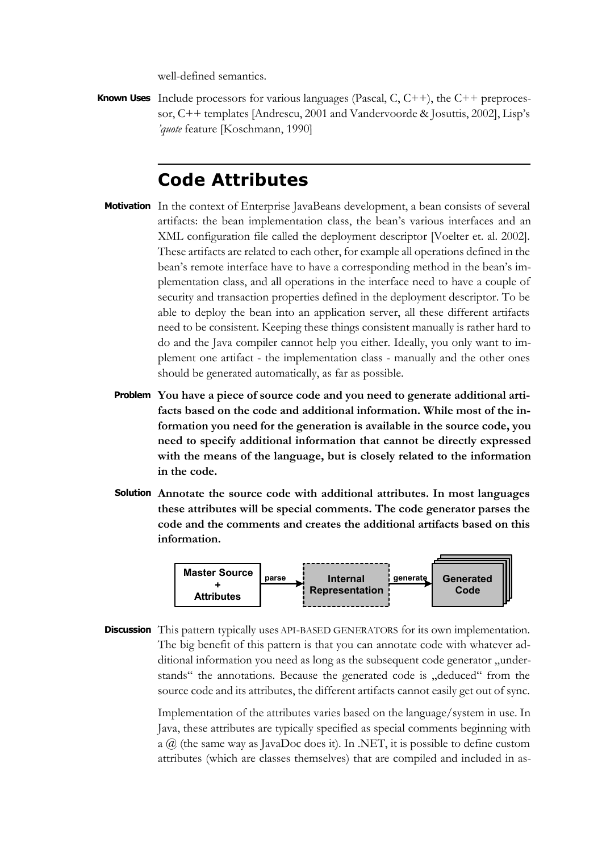well-defined semantics.

Known Uses Include processors for various languages (Pascal, C, C++), the C++ preprocessor, C++ templates [Andrescu, 2001 and Vandervoorde & Josuttis, 2002], Lisp's *'quote* feature [Koschmann, 1990]

### **Code Attributes**

- Motivation In the context of Enterprise JavaBeans development, a bean consists of several artifacts: the bean implementation class, the bean's various interfaces and an XML configuration file called the deployment descriptor [Voelter et. al. 2002]. These artifacts are related to each other, for example all operations defined in the bean's remote interface have to have a corresponding method in the bean's implementation class, and all operations in the interface need to have a couple of security and transaction properties defined in the deployment descriptor. To be able to deploy the bean into an application server, all these different artifacts need to be consistent. Keeping these things consistent manually is rather hard to do and the Java compiler cannot help you either. Ideally, you only want to implement one artifact - the implementation class - manually and the other ones should be generated automatically, as far as possible.
	- **You have a piece of source code and you need to generate additional arti-Problem facts based on the code and additional information. While most of the information you need for the generation is available in the source code, you need to specify additional information that cannot be directly expressed with the means of the language, but is closely related to the information in the code.**
	- **Annotate the source code with additional attributes. In most languages Solution these attributes will be special comments. The code generator parses the code and the comments and creates the additional artifacts based on this information.**



**Discussion** This pattern typically uses API-BASED GENERATORS for its own implementation. The big benefit of this pattern is that you can annotate code with whatever additional information you need as long as the subsequent code generator "understands" the annotations. Because the generated code is "deduced" from the source code and its attributes, the different artifacts cannot easily get out of sync.

> Implementation of the attributes varies based on the language/system in use. In Java, these attributes are typically specified as special comments beginning with a  $\omega$  (the same way as JavaDoc does it). In .NET, it is possible to define custom attributes (which are classes themselves) that are compiled and included in as-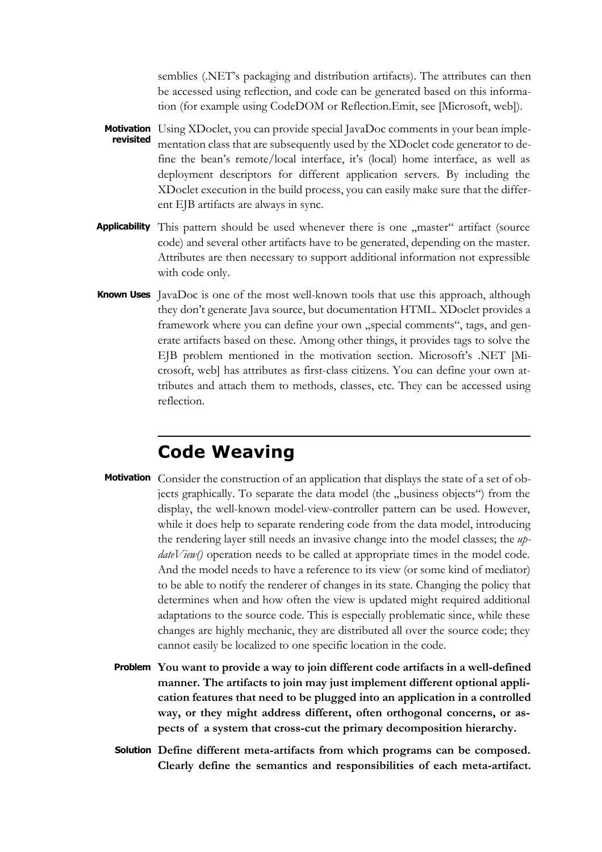semblies (.NET's packaging and distribution artifacts). The attributes can then be accessed using reflection, and code can be generated based on this information (for example using CodeDOM or Reflection.Emit, see [Microsoft, web]).

- Motivation Using XDoclet, you can provide special JavaDoc comments in your bean implementation class that are subsequently used by the XDoclet code generator to define the bean's remote/local interface, it's (local) home interface, as well as deployment descriptors for different application servers. By including the XDoclet execution in the build process, you can easily make sure that the different EJB artifacts are always in sync. **revisited**
- Applicability This pattern should be used whenever there is one "master" artifact (source code) and several other artifacts have to be generated, depending on the master. Attributes are then necessary to support additional information not expressible with code only.
- **Known Uses** JavaDoc is one of the most well-known tools that use this approach, although they don't generate Java source, but documentation HTML. XDoclet provides a framework where you can define your own "special comments", tags, and generate artifacts based on these. Among other things, it provides tags to solve the EJB problem mentioned in the motivation section. Microsoft's .NET [Microsoft, web] has attributes as first-class citizens. You can define your own attributes and attach them to methods, classes, etc. They can be accessed using reflection.

# **Code Weaving**

- Motivation Consider the construction of an application that displays the state of a set of objects graphically. To separate the data model (the "business objects") from the display, the well-known model-view-controller pattern can be used. However, while it does help to separate rendering code from the data model, introducing the rendering layer still needs an invasive change into the model classes; the *updateView()* operation needs to be called at appropriate times in the model code. And the model needs to have a reference to its view (or some kind of mediator) to be able to notify the renderer of changes in its state. Changing the policy that determines when and how often the view is updated might required additional adaptations to the source code. This is especially problematic since, while these changes are highly mechanic, they are distributed all over the source code; they cannot easily be localized to one specific location in the code.
	- **You want to provide a way to join different code artifacts in a well-defined Problem manner. The artifacts to join may just implement different optional application features that need to be plugged into an application in a controlled way, or they might address different, often orthogonal concerns, or aspects of a system that cross-cut the primary decomposition hierarchy.**
	- **Define different meta-artifacts from which programs can be composed. SolutionClearly define the semantics and responsibilities of each meta-artifact.**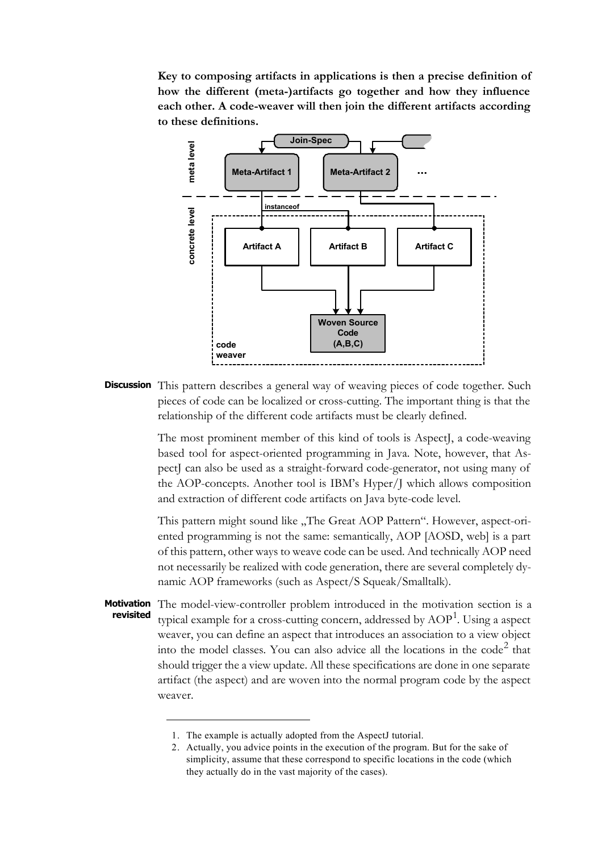**Key to composing artifacts in applications is then a precise definition of how the different (meta-)artifacts go together and how they influence each other. A code-weaver will then join the different artifacts according to these definitions.**



**Discussion** This pattern describes a general way of weaving pieces of code together. Such pieces of code can be localized or cross-cutting. The important thing is that the relationship of the different code artifacts must be clearly defined.

> The most prominent member of this kind of tools is AspectJ, a code-weaving based tool for aspect-oriented programming in Java. Note, however, that AspectJ can also be used as a straight-forward code-generator, not using many of the AOP-concepts. Another tool is IBM's Hyper/J which allows composition and extraction of different code artifacts on Java byte-code level.

> This pattern might sound like "The Great AOP Pattern". However, aspect-oriented programming is not the same: semantically, AOP [AOSD, web] is a part of this pattern, other ways to weave code can be used. And technically AOP need not necessarily be realized with code generation, there are several completely dynamic AOP frameworks (such as Aspect/S Squeak/Smalltalk).

- Motivation The model-view-controller problem introduced in the motivation section is a typical example for a cross-cutting concern, addressed by  $\mathrm{AOP}^1$ . Using a aspect weaver, you can define an aspect that introduces an association to a view object into the model classes. You can also advice all the locations in the  $\text{code}^2$  that should trigger the a view update. All these specifications are done in one separate artifact (the aspect) and are woven into the normal program code by the aspect weaver. **revisited**
	- 1. The example is actually adopted from the AspectJ tutorial.

<sup>2.</sup> Actually, you advice points in the execution of the program. But for the sake of simplicity, assume that these correspond to specific locations in the code (which they actually do in the vast majority of the cases).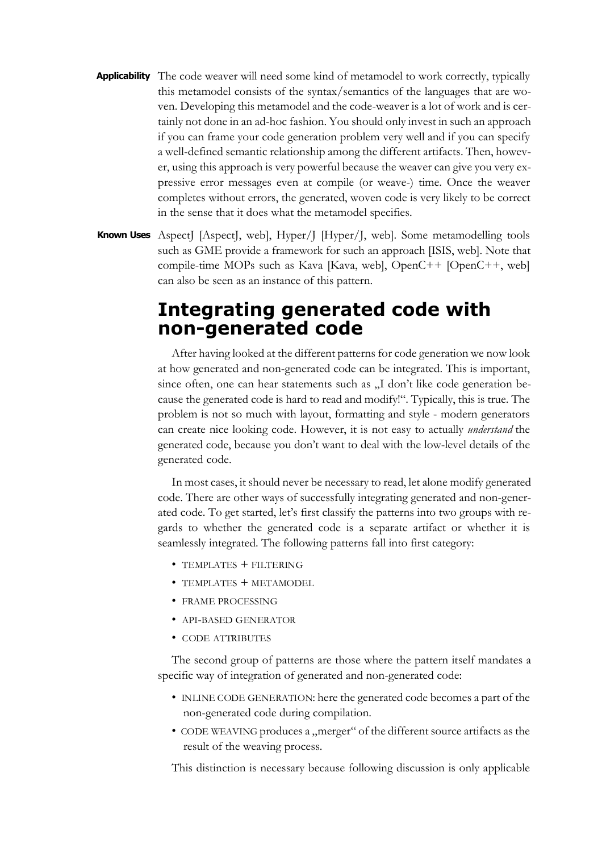- Applicability The code weaver will need some kind of metamodel to work correctly, typically this metamodel consists of the syntax/semantics of the languages that are woven. Developing this metamodel and the code-weaver is a lot of work and is certainly not done in an ad-hoc fashion. You should only invest in such an approach if you can frame your code generation problem very well and if you can specify a well-defined semantic relationship among the different artifacts. Then, however, using this approach is very powerful because the weaver can give you very expressive error messages even at compile (or weave-) time. Once the weaver completes without errors, the generated, woven code is very likely to be correct in the sense that it does what the metamodel specifies.
- **Known Uses** AspectJ [AspectJ, web], Hyper/J [Hyper/J, web]. Some metamodelling tools such as GME provide a framework for such an approach [ISIS, web]. Note that compile-time MOPs such as Kava [Kava, web], OpenC++ [OpenC++, web] can also be seen as an instance of this pattern.

# **Integrating generated code with non-generated code**

After having looked at the different patterns for code generation we now look at how generated and non-generated code can be integrated. This is important, since often, one can hear statements such as "I don't like code generation because the generated code is hard to read and modify!". Typically, this is true. The problem is not so much with layout, formatting and style - modern generators can create nice looking code. However, it is not easy to actually *understand* the generated code, because you don't want to deal with the low-level details of the generated code.

In most cases, it should never be necessary to read, let alone modify generated code. There are other ways of successfully integrating generated and non-generated code. To get started, let's first classify the patterns into two groups with regards to whether the generated code is a separate artifact or whether it is seamlessly integrated. The following patterns fall into first category:

- TEMPLATES + FILTERING
- $\bullet$  TEMPLATES  $+$  METAMODEL
- FRAME PROCESSING
- API-BASED GENERATOR
- CODE ATTRIBUTES

The second group of patterns are those where the pattern itself mandates a specific way of integration of generated and non-generated code:

- INLINE CODE GENERATION: here the generated code becomes a part of the non-generated code during compilation.
- CODE WEAVING produces a "merger" of the different source artifacts as the result of the weaving process.

This distinction is necessary because following discussion is only applicable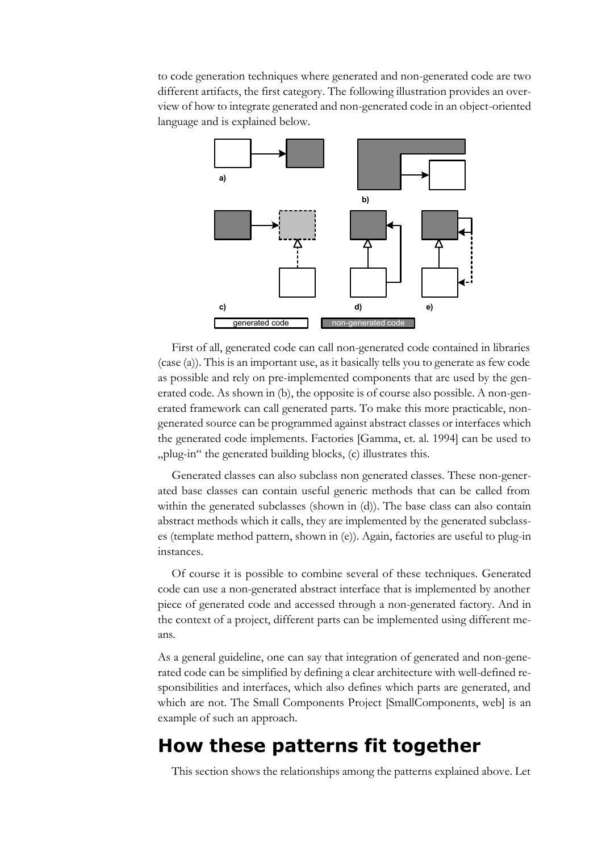to code generation techniques where generated and non-generated code are two different artifacts, the first category. The following illustration provides an overview of how to integrate generated and non-generated code in an object-oriented language and is explained below.



First of all, generated code can call non-generated code contained in libraries (case (a)). This is an important use, as it basically tells you to generate as few code as possible and rely on pre-implemented components that are used by the generated code. As shown in (b), the opposite is of course also possible. A non-generated framework can call generated parts. To make this more practicable, nongenerated source can be programmed against abstract classes or interfaces which the generated code implements. Factories [Gamma, et. al. 1994] can be used to "plug-in" the generated building blocks, (c) illustrates this.

Generated classes can also subclass non generated classes. These non-generated base classes can contain useful generic methods that can be called from within the generated subclasses (shown in (d)). The base class can also contain abstract methods which it calls, they are implemented by the generated subclasses (template method pattern, shown in (e)). Again, factories are useful to plug-in instances.

Of course it is possible to combine several of these techniques. Generated code can use a non-generated abstract interface that is implemented by another piece of generated code and accessed through a non-generated factory. And in the context of a project, different parts can be implemented using different means.

As a general guideline, one can say that integration of generated and non-generated code can be simplified by defining a clear architecture with well-defined responsibilities and interfaces, which also defines which parts are generated, and which are not. The Small Components Project [SmallComponents, web] is an example of such an approach.

### **How these patterns fit together**

This section shows the relationships among the patterns explained above. Let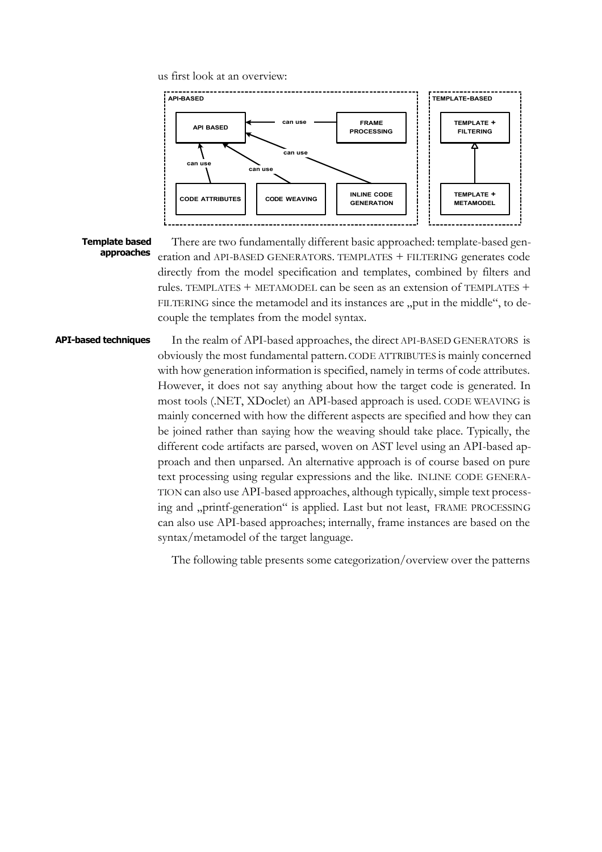us first look at an overview:



#### **Template based approaches**

There are two fundamentally different basic approached: template-based generation and API-BASED GENERATORS. TEMPLATES + FILTERING generates code directly from the model specification and templates, combined by filters and rules. TEMPLATES + METAMODEL can be seen as an extension of TEMPLATES + FILTERING since the metamodel and its instances are "put in the middle", to decouple the templates from the model syntax.

#### **API-based techniques**

In the realm of API-based approaches, the direct API-BASED GENERATORS is obviously the most fundamental pattern. CODE ATTRIBUTES is mainly concerned with how generation information is specified, namely in terms of code attributes. However, it does not say anything about how the target code is generated. In most tools (.NET, XDoclet) an API-based approach is used. CODE WEAVING is mainly concerned with how the different aspects are specified and how they can be joined rather than saying how the weaving should take place. Typically, the different code artifacts are parsed, woven on AST level using an API-based approach and then unparsed. An alternative approach is of course based on pure text processing using regular expressions and the like. INLINE CODE GENERA-TION can also use API-based approaches, although typically, simple text processing and "printf-generation" is applied. Last but not least, FRAME PROCESSING can also use API-based approaches; internally, frame instances are based on the syntax/metamodel of the target language.

The following table presents some categorization/overview over the patterns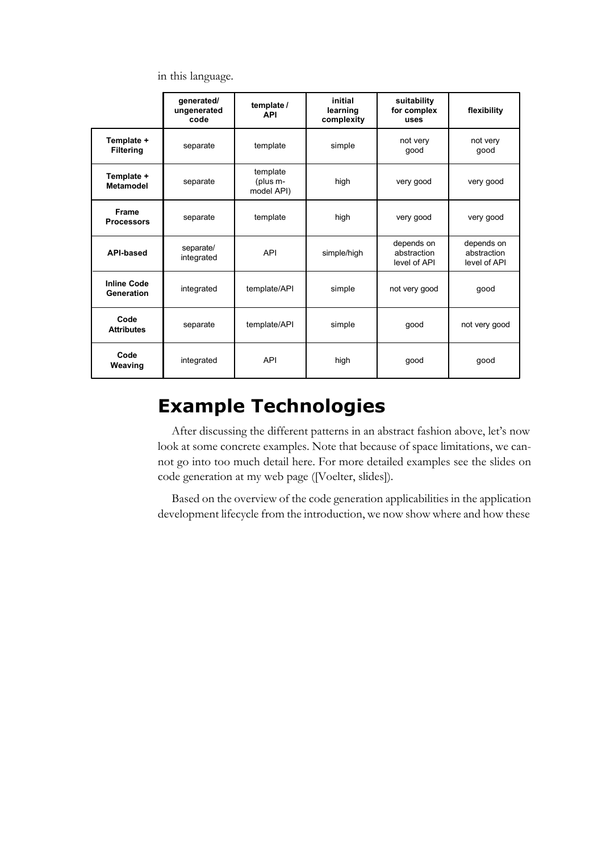in this language.

|                                  | generated/<br>ungenerated<br>code | template /<br><b>API</b>           | initial<br>learning<br>complexity                        | suitability<br>for complex<br>uses | flexibility                               |
|----------------------------------|-----------------------------------|------------------------------------|----------------------------------------------------------|------------------------------------|-------------------------------------------|
| Template +<br><b>Filtering</b>   | separate                          | template                           | simple                                                   | not very<br>qood                   | not very<br>good                          |
| Template +<br><b>Metamodel</b>   | separate                          | template<br>(plus m-<br>model API) | high<br>very good                                        |                                    | very good                                 |
| Frame<br><b>Processors</b>       | separate                          | template<br>high                   |                                                          | very good                          | very good                                 |
| <b>API-based</b>                 | separate/<br>integrated           | <b>API</b>                         | depends on<br>abstraction<br>simple/high<br>level of API |                                    | depends on<br>abstraction<br>level of API |
| <b>Inline Code</b><br>Generation | integrated                        | template/API                       | simple<br>not very good                                  |                                    | good                                      |
| Code<br><b>Attributes</b>        | separate                          | template/API                       | simple<br>qood                                           |                                    | not very good                             |
| Code<br>Weaving                  | integrated                        | <b>API</b>                         | high<br>good                                             |                                    | good                                      |

# **Example Technologies**

After discussing the different patterns in an abstract fashion above, let's now look at some concrete examples. Note that because of space limitations, we cannot go into too much detail here. For more detailed examples see the slides on code generation at my web page ([Voelter, slides]).

Based on the overview of the code generation applicabilities in the application development lifecycle from the introduction, we now show where and how these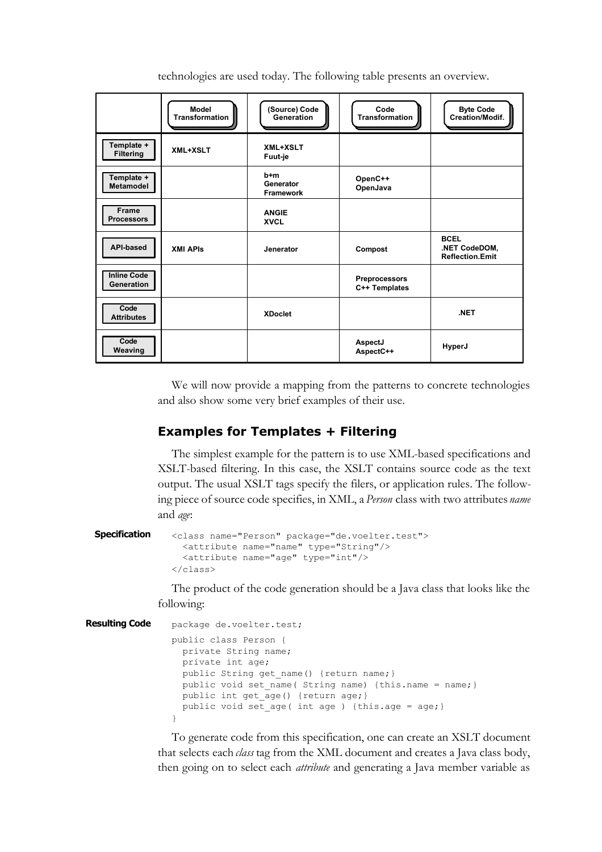| technologies are used today. The following table presents an overview. |  |  |  |  |
|------------------------------------------------------------------------|--|--|--|--|
|                                                                        |  |  |  |  |

|                                         | Model<br>Transformation | (Source) Code<br>Generation          | Code<br>Transformation                | <b>Byte Code</b><br>Creation/Modif.                    |
|-----------------------------------------|-------------------------|--------------------------------------|---------------------------------------|--------------------------------------------------------|
| Template +<br><b>Filtering</b>          | <b>XML+XSLT</b>         | <b>XML+XSLT</b><br>Fuut-je           |                                       |                                                        |
| Template +<br>Metamodel                 |                         | b+m<br>Generator<br><b>Framework</b> | OpenC++<br>OpenJava                   |                                                        |
| <b>Frame</b><br><b>Processors</b>       |                         | <b>ANGIE</b><br><b>XVCL</b>          |                                       |                                                        |
| <b>API-based</b>                        | <b>XMI APIS</b>         | Jenerator                            | Compost                               | <b>BCEL</b><br>.NET CodeDOM,<br><b>Reflection.Emit</b> |
| <b>Inline Code</b><br><b>Generation</b> |                         |                                      | <b>Preprocessors</b><br>C++ Templates |                                                        |
| Code<br><b>Attributes</b>               |                         | <b>XDoclet</b>                       |                                       | .NET                                                   |
| Code<br>Weaving                         |                         |                                      | AspectJ<br>AspectC++                  | HyperJ                                                 |

We will now provide a mapping from the patterns to concrete technologies and also show some very brief examples of their use.

### **Examples for Templates + Filtering**

The simplest example for the pattern is to use XML-based specifications and XSLT-based filtering. In this case, the XSLT contains source code as the text output. The usual XSLT tags specify the filers, or application rules. The following piece of source code specifies, in XML, a *Person* class with two attributes *name* and *age*:

```
<class name="Person" package="de.voelter.test"> 
                  <attribute name="name" type="String"/> 
                  <attribute name="age" type="int"/>
              </class>
Specification
```
The product of the code generation should be a Java class that looks like the following:

```
package de.voelter.test;
                 public class Person {
                    private String name; 
                   private int age; 
                  public String get name() {return name; }
                   public void set name( String name) {this.name = name;}
                  public int get age() {return age; }
                   public void set age( int age ) {this.age = age; }
                 \mathfrak{r}Resulting Code
```
To generate code from this specification, one can create an XSLT document that selects each *class* tag from the XML document and creates a Java class body, then going on to select each *attribute* and generating a Java member variable as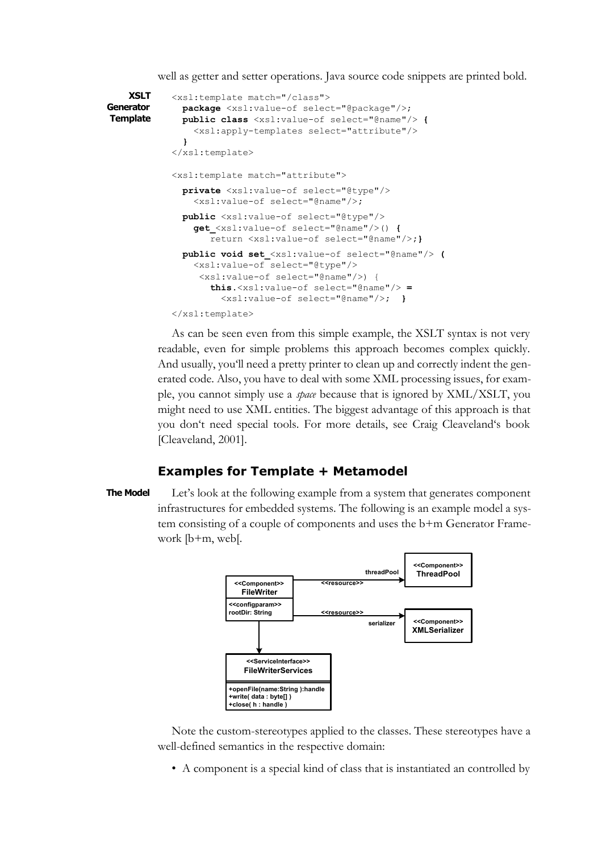well as getter and setter operations. Java source code snippets are printed bold.

```
<xsl:template match="/class"> 
               package <xsl:value-of select="@package"/>; 
               public class <xsl:value-of select="@name"/> { 
                 <xsl:apply-templates select="attribute"/> 
               }
            </xsl:template>
            <xsl:template match="attribute"> 
               private <xsl:value-of select="@type"/> 
                 <xsl:value-of select="@name"/>;
               public <xsl:value-of select="@type"/> 
                 get_<xsl:value-of select="@name"/>() { 
                     return <xsl:value-of select="@name"/>;}
               public void set_<xsl:value-of select="@name"/> ( 
                 <xsl:value-of select="@type"/> 
                  <xsl:value-of select="@name"/>) { 
                     this.<xsl:value-of select="@name"/> =
                       <xsl:value-of select="@name"/>; }
            </xsl:template>
    XSLT
Generator
Template
```
As can be seen even from this simple example, the XSLT syntax is not very readable, even for simple problems this approach becomes complex quickly. And usually, you'll need a pretty printer to clean up and correctly indent the generated code. Also, you have to deal with some XML processing issues, for example, you cannot simply use a *space* because that is ignored by XML/XSLT, you might need to use XML entities. The biggest advantage of this approach is that you don't need special tools. For more details, see Craig Cleaveland's book [Cleaveland, 2001].

#### **Examples for Template + Metamodel**

#### **The Model**

Let's look at the following example from a system that generates component infrastructures for embedded systems. The following is an example model a system consisting of a couple of components and uses the b+m Generator Framework [b+m, web[.



Note the custom-stereotypes applied to the classes. These stereotypes have a well-defined semantics in the respective domain:

• A component is a special kind of class that is instantiated an controlled by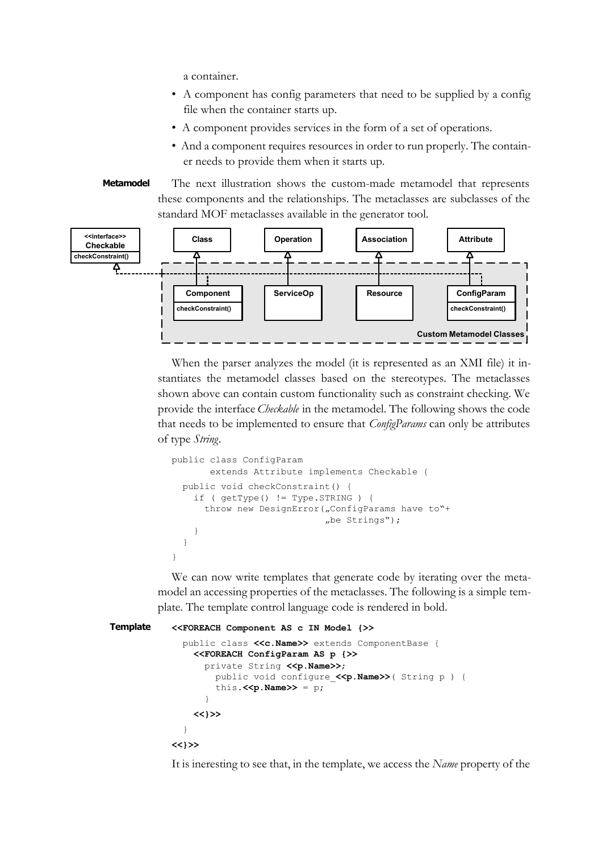a container.

- A component has config parameters that need to be supplied by a config file when the container starts up.
- A component provides services in the form of a set of operations.
- And a component requires resources in order to run properly. The container needs to provide them when it starts up.
- The next illustration shows the custom-made metamodel that represents these components and the relationships. The metaclasses are subclasses of the standard MOF metaclasses available in the generator tool. **Metamodel**



When the parser analyzes the model (it is represented as an XMI file) it instantiates the metamodel classes based on the stereotypes. The metaclasses shown above can contain custom functionality such as constraint checking. We provide the interface *Checkable* in the metamodel. The following shows the code that needs to be implemented to ensure that *ConfigParams* can only be attributes of type *String*.

```
public class ConfigParam 
        extends Attribute implements Checkable {
   public void checkConstraint() { 
     if ( getType() != Type.STRING ) { 
      throw new DesignError("ConfigParams have to"+
                             .be Strings");
 } 
   }
}
```
We can now write templates that generate code by iterating over the metamodel an accessing properties of the metaclasses. The following is a simple template. The template control language code is rendered in bold.

```
<<FOREACH Component AS c IN Model {>>
               public class <<c.Name>> extends ComponentBase { 
                 <<FOREACH ConfigParam AS p {>> 
                  private String <<p. Name>>;
                     public void configure_<<p.Name>>( String p ) { 
                    this.<<p. Name>> = p;
             }
                 <<}>>
               }
           <<}>>
Template
```
It is ineresting to see that, in the template, we access the *Name* property of the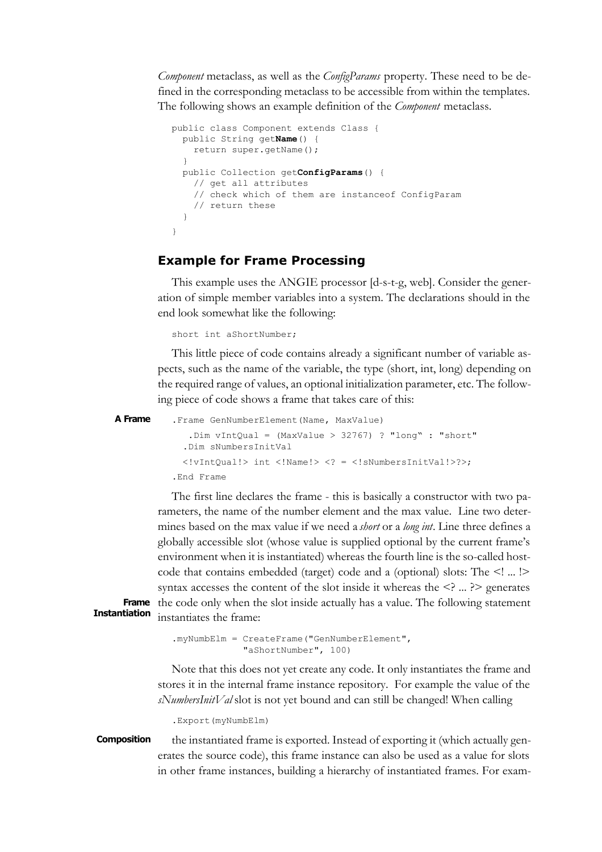*Component* metaclass, as well as the *ConfigParams* property. These need to be defined in the corresponding metaclass to be accessible from within the templates. The following shows an example definition of the *Component* metaclass.

```
public class Component extends Class {
   public String getName() {
     return super.getName();
 }
   public Collection getConfigParams() { 
    // get all attributes
     // check which of them are instanceof ConfigParam
     // return these
   }
}
```
### **Example for Frame Processing**

This example uses the ANGIE processor [d-s-t-g, web]. Consider the generation of simple member variables into a system. The declarations should in the end look somewhat like the following:

short int aShortNumber;

This little piece of code contains already a significant number of variable aspects, such as the name of the variable, the type (short, int, long) depending on the required range of values, an optional initialization parameter, etc. The following piece of code shows a frame that takes care of this:

```
.Frame GenNumberElement(Name, MaxValue)
              .Dim vIntQual = (MaxValue > 32767) ? "long" : "short"
              .Dim sNumbersInitVal
              <!vIntQual!> int <!Name!> <? = <!sNumbersInitVal!>?>;
           .End Frame
A Frame
```
The first line declares the frame - this is basically a constructor with two parameters, the name of the number element and the max value. Line two determines based on the max value if we need a *short* or a *long int*. Line three defines a globally accessible slot (whose value is supplied optional by the current frame's environment when it is instantiated) whereas the fourth line is the so-called hostcode that contains embedded (target) code and a (optional) slots: The <! ... !> syntax accesses the content of the slot inside it whereas the  $\leq$   $\geq$   $\geq$   $\geq$  generates Frame the code only when the slot inside actually has a value. The following statement instantiates the frame:

**Instantiation**

.myNumbElm = CreateFrame("GenNumberElement", "aShortNumber", 100)

Note that this does not yet create any code. It only instantiates the frame and stores it in the internal frame instance repository. For example the value of the *sNumbersInitVal* slot is not yet bound and can still be changed! When calling

.Export(myNumbElm)

the instantiated frame is exported. Instead of exporting it (which actually generates the source code), this frame instance can also be used as a value for slots in other frame instances, building a hierarchy of instantiated frames. For exam-**Composition**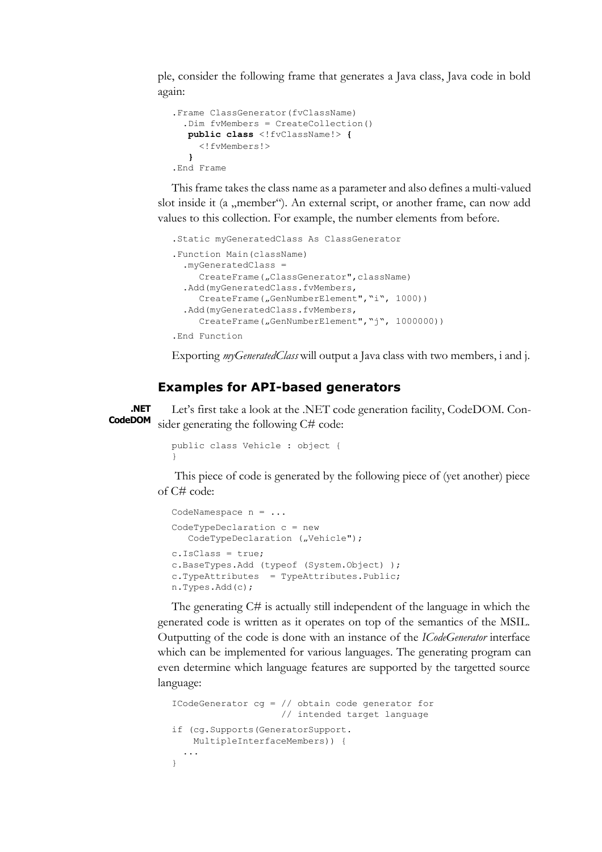ple, consider the following frame that generates a Java class, Java code in bold again:

```
.Frame ClassGenerator(fvClassName)
   .Dim fvMembers = CreateCollection()
   public class <!fvClassName!> { 
     <!fvMembers!>
   }
.End Frame
```
This frame takes the class name as a parameter and also defines a multi-valued slot inside it (a "member"). An external script, or another frame, can now add values to this collection. For example, the number elements from before.

```
.Static myGeneratedClass As ClassGenerator
.Function Main(className)
   .myGeneratedClass = 
    CreateFrame(,ClassGenerator",className)
   .Add(myGeneratedClass.fvMembers, 
    CreateFrame("GenNumberElement", "i", 1000))
   .Add(myGeneratedClass.fvMembers, 
    CreateFrame("GenNumberElement","j", 1000000))
.End Function
```
Exporting *myGeneratedClass* will output a Java class with two members, i and j.

#### **Examples for API-based generators**

Let's first take a look at the .NET code generation facility, CodeDOM. Consider generating the following C# code: **.NET CodeDOM**

```
public class Vehicle : object {
}
```
 This piece of code is generated by the following piece of (yet another) piece of C# code:

```
CodeNamespace n = ...
CodeTypeDeclaration c = new 
  CodeTypeDeclaration ("Vehicle");
c.IsClass = true;
c.BaseTypes.Add (typeof (System.Object) );
c.TypeAttributes = TypeAttributes.Public;
n.Types.Add(c);
```
The generating C# is actually still independent of the language in which the generated code is written as it operates on top of the semantics of the MSIL. Outputting of the code is done with an instance of the *ICodeGenerator* interface which can be implemented for various languages. The generating program can even determine which language features are supported by the targetted source language:

```
ICodeGenerator cg = // obtain code generator for 
                      // intended target language
if (cg.Supports(GeneratorSupport.
    MultipleInterfaceMembers)) {
   ...
}
```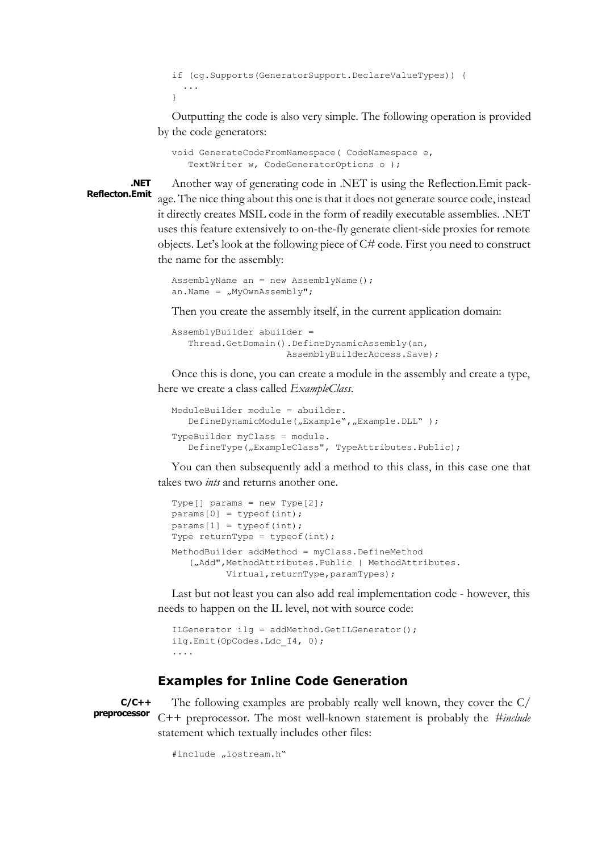```
if (cg.Supports(GeneratorSupport.DeclareValueTypes)) {
 ...
}
```
Outputting the code is also very simple. The following operation is provided by the code generators:

```
void GenerateCodeFromNamespace( CodeNamespace e, 
    TextWriter w, CodeGeneratorOptions o );
```
**.NET Reflecton.Emit**

Another way of generating code in .NET is using the Reflection.Emit package. The nice thing about this one is that it does not generate source code, instead it directly creates MSIL code in the form of readily executable assemblies. .NET uses this feature extensively to on-the-fly generate client-side proxies for remote objects. Let's look at the following piece of C# code. First you need to construct the name for the assembly:

```
AssemblyName an = new AssemblyName();
an.Name = _{\prime\prime}MyOwnAssembly";
```
Then you create the assembly itself, in the current application domain:

```
AssemblyBuilder abuilder = 
    Thread.GetDomain().DefineDynamicAssembly(an, 
                       AssemblyBuilderAccess.Save);
```
Once this is done, you can create a module in the assembly and create a type, here we create a class called *ExampleClass*.

```
ModuleBuilder module = abuilder.
   DefineDynamicModule("Example", "Example.DLL" );
TypeBuilder myClass = module.
   DefineType("ExampleClass", TypeAttributes.Public);
```
You can then subsequently add a method to this class, in this case one that takes two *ints* and returns another one.

```
Type[] params = new Type[2];
params[0] = typeof(int);params[1] = typeof(int);Type returnType = typeof(int);
MethodBuilder addMethod = myClass.DefineMethod
   ("Add", MethodAttributes.Public | MethodAttributes.
          Virtual, returnType, paramTypes);
```
Last but not least you can also add real implementation code - however, this needs to happen on the IL level, not with source code:

```
ILGenerator ilg = addMethod.GetILGenerator();
ilg.Emit(OpCodes.Ldc_I4, 0);
....
```
### **Examples for Inline Code Generation**

**C/C++ preprocessor**

The following examples are probably really well known, they cover the C/ C++ preprocessor. The most well-known statement is probably the *#include* statement which textually includes other files:

```
#include "iostream.h"
```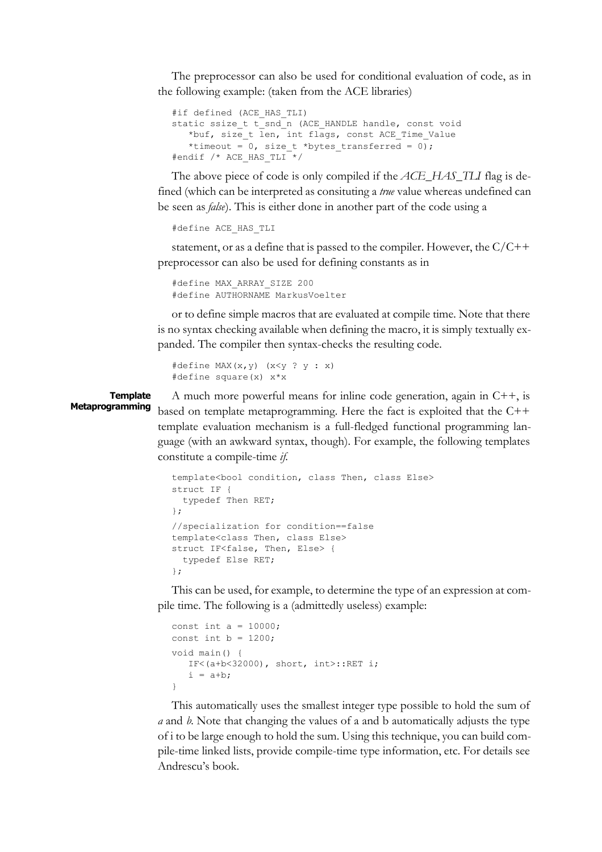The preprocessor can also be used for conditional evaluation of code, as in the following example: (taken from the ACE libraries)

```
#if defined (ACE HAS TLI)
static ssize_t t_snd_n (ACE_HANDLE handle, const void
   *buf, size t len, int flags, const ACE Time Value
   *timeout = 0, size t *bytes transferred = 0);
#endif /* ACE_HAS_TLI */
```
The above piece of code is only compiled if the *ACE\_HAS\_TLI* flag is defined (which can be interpreted as consituting a *true* value whereas undefined can be seen as *false*). This is either done in another part of the code using a

```
#define ACE_HAS_TLI
```
statement, or as a define that is passed to the compiler. However, the C/C++ preprocessor can also be used for defining constants as in

```
#define MAX_ARRAY_SIZE 200
#define AUTHORNAME MarkusVoelter
```
or to define simple macros that are evaluated at compile time. Note that there is no syntax checking available when defining the macro, it is simply textually expanded. The compiler then syntax-checks the resulting code.

```
#define MAX(x, y) (x < y ? y : x)#define square(x) x*x
```
**Template Metaprogramming**

A much more powerful means for inline code generation, again in C++, is based on template metaprogramming. Here the fact is exploited that the C++ template evaluation mechanism is a full-fledged functional programming language (with an awkward syntax, though). For example, the following templates constitute a compile-time *if*.

```
template<bool condition, class Then, class Else>
struct IF { 
   typedef Then RET;
};
//specialization for condition==false
template<class Then, class Else>
struct IF<false, Then, Else> {
   typedef Else RET;
};
```
This can be used, for example, to determine the type of an expression at compile time. The following is a (admittedly useless) example:

```
const int a = 10000;
const int b = 1200;
void main() { 
    IF<(a+b<32000), short, int>::RET i;
   i = a+b:
}
```
This automatically uses the smallest integer type possible to hold the sum of *a* and *b.* Note that changing the values of a and b automatically adjusts the type of i to be large enough to hold the sum. Using this technique, you can build compile-time linked lists, provide compile-time type information, etc. For details see Andrescu's book.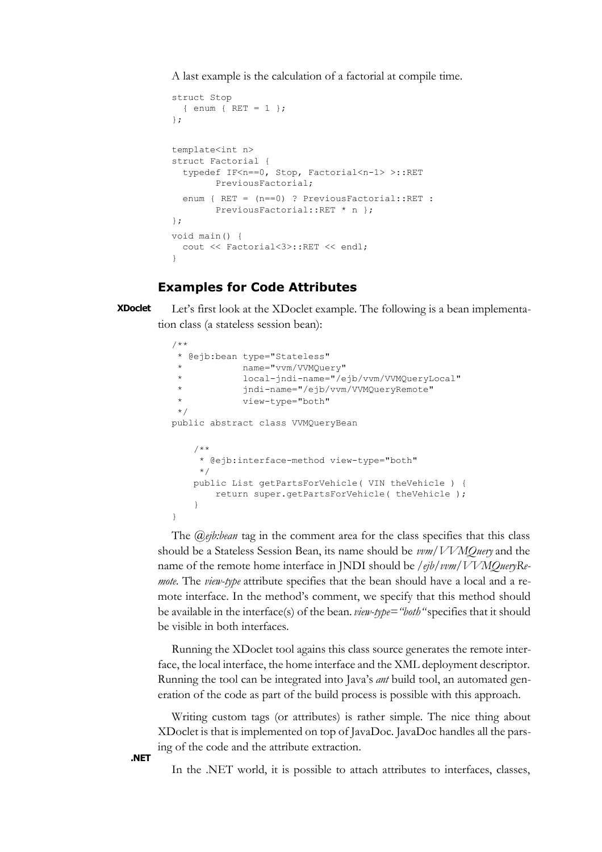A last example is the calculation of a factorial at compile time.

```
struct Stop
   { enum { RET = 1 };
};
template<int n>
struct Factorial { 
  typedef IF<n==0, Stop, Factorial<n-1> >::RET 
        PreviousFactorial;
   enum { RET = (n==0) ? PreviousFactorial::RET : 
         PreviousFactorial::RET * n };
};
void main() { 
  cout << Factorial<3>::RET << endl;
}
```
#### **Examples for Code Attributes**

Let's first look at the XDoclet example. The following is a bean implementation class (a stateless session bean): **XDoclet**

```
/**
  * @ejb:bean type="Stateless" 
             name="vvm/VVMOuery"
              * local-jndi-name="/ejb/vvm/VVMQueryLocal"
              * jndi-name="/ejb/vvm/VVMQueryRemote"
             view-type="both"
  */
public abstract class VVMQueryBean
     /**
      * @ejb:interface-method view-type="both"
      */
     public List getPartsForVehicle( VIN theVehicle ) {
         return super.getPartsForVehicle( theVehicle );
     }
}
```
The *@ejb:bean* tag in the comment area for the class specifies that this class should be a Stateless Session Bean, its name should be *vvm/VVMQuery* and the name of the remote home interface in JNDI should be */ejb/vvm/VVMQueryRemote*. The *view-type* attribute specifies that the bean should have a local and a remote interface. In the method's comment, we specify that this method should be available in the interface(s) of the bean. *view-type="both"* specifies that it should be visible in both interfaces.

Running the XDoclet tool agains this class source generates the remote interface, the local interface, the home interface and the XML deployment descriptor. Running the tool can be integrated into Java's *ant* build tool, an automated generation of the code as part of the build process is possible with this approach.

Writing custom tags (or attributes) is rather simple. The nice thing about XDoclet is that is implemented on top of JavaDoc. JavaDoc handles all the parsing of the code and the attribute extraction.

In the .NET world, it is possible to attach attributes to interfaces, classes,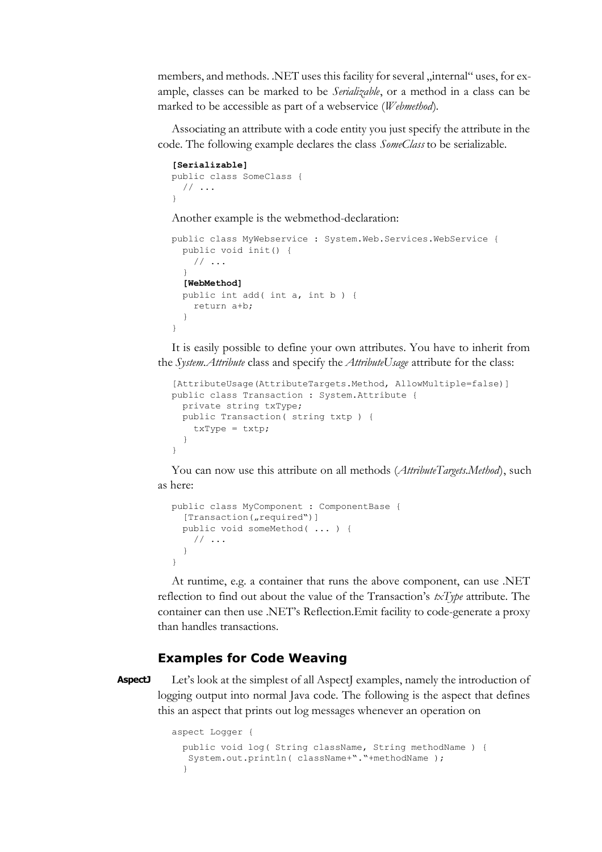members, and methods. .NET uses this facility for several "internal" uses, for example, classes can be marked to be *Serializable*, or a method in a class can be marked to be accessible as part of a webservice (*Webmethod*).

Associating an attribute with a code entity you just specify the attribute in the code. The following example declares the class *SomeClass* to be serializable.

```
[Serializable]
public class SomeClass {
  // \dots}
```
Another example is the webmethod-declaration:

```
public class MyWebservice : System.Web.Services.WebService {
   public void init() {
    // \ldots }
   [WebMethod]
   public int add( int a, int b ) {
    return a+b;
   }
}
```
It is easily possible to define your own attributes. You have to inherit from the *System.Attribute* class and specify the *AttributeUsage* attribute for the class:

```
[AttributeUsage(AttributeTargets.Method, AllowMultiple=false)]
public class Transaction : System.Attribute {
   private string txType;
   public Transaction( string txtp ) {
     txType = txtp;
 }
}
```
You can now use this attribute on all methods (*AttributeTargets.Method*), such as here:

```
public class MyComponent : ComponentBase {
  [Transaction("required")]
   public void someMethod( ... ) {
     // ...
 }
}
```
At runtime, e.g. a container that runs the above component, can use .NET reflection to find out about the value of the Transaction's *txType* attribute. The container can then use .NET's Reflection.Emit facility to code-generate a proxy than handles transactions.

#### **Examples for Code Weaving**

**AspectJ**

Let's look at the simplest of all AspectJ examples, namely the introduction of logging output into normal Java code. The following is the aspect that defines this an aspect that prints out log messages whenever an operation on

```
aspect Logger {
   public void log( String className, String methodName ) { 
    System.out.println( className+"."+methodName );
   }
```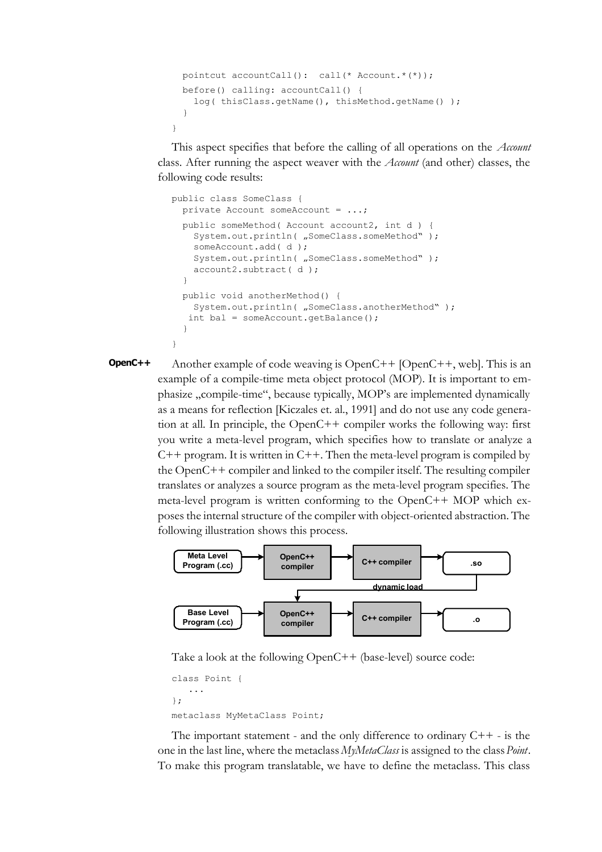```
 pointcut accountCall(): call(* Account.*(*));
  before() calling: accountCall() { 
   log( thisClass.getName(), thisMethod.getName() );
 }
}
```
This aspect specifies that before the calling of all operations on the *Account* class. After running the aspect weaver with the *Account* (and other) classes, the following code results:

```
public class SomeClass {
   private Account someAccount = ...;
   public someMethod( Account account2, int d ) {
    System.out.println( "SomeClass.someMethod" );
     someAccount.add( d );
    System.out.println( "SomeClass.someMethod" );
     account2.subtract( d );
 }
   public void anotherMethod() {
    System.out.println( "SomeClass.anotherMethod" );
    int bal = someAccount.getBalance();
 }
}
```

```
Another example of code weaving is OpenC++ [OpenC++, web]. This is an
          example of a compile-time meta object protocol (MOP). It is important to em-
          phasize "compile-time", because typically, MOP's are implemented dynamically
          as a means for reflection [Kiczales et. al., 1991] and do not use any code genera-
          tion at all. In principle, the OpenC++ compiler works the following way: first
          you write a meta-level program, which specifies how to translate or analyze a
          C++ program. It is written in C++. Then the meta-level program is compiled by
          the OpenC++ compiler and linked to the compiler itself. The resulting compiler
          translates or analyzes a source program as the meta-level program specifies. The
          meta-level program is written conforming to the OpenC++ MOP which ex-
          poses the internal structure of the compiler with object-oriented abstraction. The
          following illustration shows this process.
OpenC++
```


Take a look at the following OpenC++ (base-level) source code:

```
class Point {
    ...
};
metaclass MyMetaClass Point;
```
The important statement - and the only difference to ordinary  $C++$  - is the one in the last line, where the metaclass *MyMetaClass* is assigned to the class *Point*. To make this program translatable, we have to define the metaclass. This class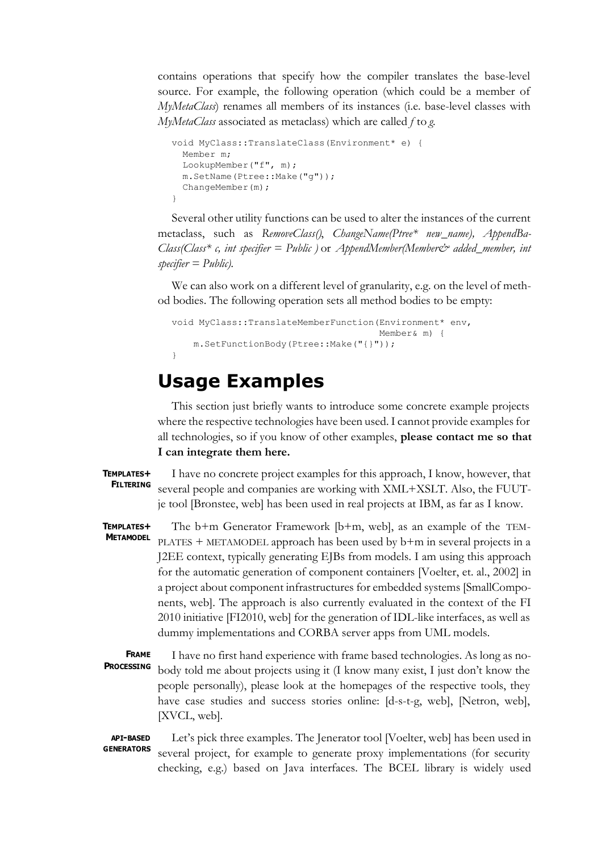contains operations that specify how the compiler translates the base-level source. For example, the following operation (which could be a member of *MyMetaClass*) renames all members of its instances (i.e. base-level classes with *MyMetaClass* associated as metaclass) which are called *f* to *g*.

```
void MyClass::TranslateClass(Environment* e) { 
   Member m;
   LookupMember("f", m);
   m.SetName(Ptree::Make("g"));
   ChangeMember(m);
}
```
Several other utility functions can be used to alter the instances of the current metaclass, such as *RemoveClass()*, *ChangeName(Ptree\* new\_name), AppendBa-Class(Class\* c, int specifier = Public )* or *AppendMember(Member& added\_member, int specifier = Public).* 

We can also work on a different level of granularity, e.g. on the level of method bodies. The following operation sets all method bodies to be empty:

```
void MyClass::TranslateMemberFunction(Environment* env,
                                        Member& m) {
     m.SetFunctionBody(Ptree::Make("{}"));
}
```
# **Usage Examples**

This section just briefly wants to introduce some concrete example projects where the respective technologies have been used. I cannot provide examples for all technologies, so if you know of other examples, **please contact me so that I can integrate them here.**

#### **TEMPLATES+ FILTERING**

I have no concrete project examples for this approach, I know, however, that several people and companies are working with XML+XSLT. Also, the FUUTje tool [Bronstee, web] has been used in real projects at IBM, as far as I know.

The b+m Generator Framework [b+m, web], as an example of the TEM-PLATES + METAMODEL approach has been used by b+m in several projects in a J2EE context, typically generating EJBs from models. I am using this approach for the automatic generation of component containers [Voelter, et. al., 2002] in a project about component infrastructures for embedded systems [SmallComponents, web]. The approach is also currently evaluated in the context of the FI 2010 initiative [FI2010, web] for the generation of IDL-like interfaces, as well as dummy implementations and CORBA server apps from UML models. **TEMPLATES+ METAMODEL**

I have no first hand experience with frame based technologies. As long as nobody told me about projects using it (I know many exist, I just don't know the people personally), please look at the homepages of the respective tools, they have case studies and success stories online: [d-s-t-g, web], [Netron, web], [XVCL, web]. **FRAME PROCESSING**

Let's pick three examples. The Jenerator tool [Voelter, web] has been used in several project, for example to generate proxy implementations (for security checking, e.g.) based on Java interfaces. The BCEL library is widely used **API-BASED GENERATORS**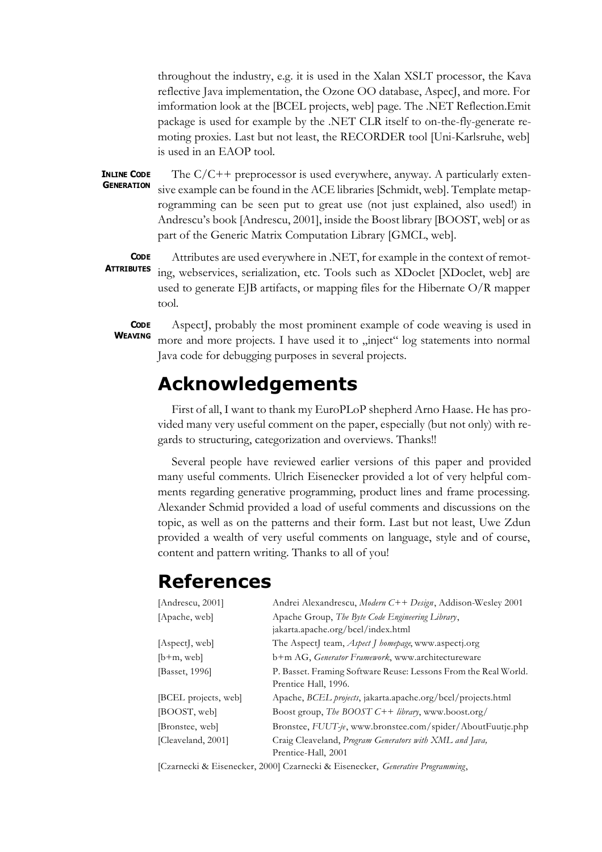throughout the industry, e.g. it is used in the Xalan XSLT processor, the Kava reflective Java implementation, the Ozone OO database, AspecJ, and more. For imformation look at the [BCEL projects, web] page. The .NET Reflection.Emit package is used for example by the .NET CLR itself to on-the-fly-generate remoting proxies. Last but not least, the RECORDER tool [Uni-Karlsruhe, web] is used in an EAOP tool.

The  $C/C++$  preprocessor is used everywhere, anyway. A particularly extensive example can be found in the ACE libraries [Schmidt, web]. Template metaprogramming can be seen put to great use (not just explained, also used!) in Andrescu's book [Andrescu, 2001], inside the Boost library [BOOST, web] or as part of the Generic Matrix Computation Library [GMCL, web]. **INLINE CODE GENERATION**

**ATTRIBUTES**

**CODE**

Attributes are used everywhere in .NET, for example in the context of remoting, webservices, serialization, etc. Tools such as XDoclet [XDoclet, web] are used to generate EJB artifacts, or mapping files for the Hibernate O/R mapper tool.

**CODE WEAVING**

AspectJ, probably the most prominent example of code weaving is used in more and more projects. I have used it to "inject" log statements into normal Java code for debugging purposes in several projects.

# **Acknowledgements**

First of all, I want to thank my EuroPLoP shepherd Arno Haase. He has provided many very useful comment on the paper, especially (but not only) with regards to structuring, categorization and overviews. Thanks!!

Several people have reviewed earlier versions of this paper and provided many useful comments. Ulrich Eisenecker provided a lot of very helpful comments regarding generative programming, product lines and frame processing. Alexander Schmid provided a load of useful comments and discussions on the topic, as well as on the patterns and their form. Last but not least, Uwe Zdun provided a wealth of very useful comments on language, style and of course, content and pattern writing. Thanks to all of you!

# **References**

| [Andrescu, 2001]     | Andrei Alexandrescu, Modern C++ Design, Addison-Wesley 2001                             |
|----------------------|-----------------------------------------------------------------------------------------|
| [Apache, web]        | Apache Group, The Byte Code Engineering Library,<br>jakarta.apache.org/bcel/index.html  |
| [Aspect], web]       | The AspectJ team, <i>Aspect J homepage</i> , www.aspectj.org                            |
| $[b+m, web]$         | b+m AG, Generator Framework, www.architectureware                                       |
| [Basset, 1996]       | P. Basset. Framing Software Reuse: Lessons From the Real World.<br>Prentice Hall, 1996. |
| [BCEL projects, web] | Apache, <i>BCEL projects</i> , jakarta.apache.org/bcel/projects.html                    |
| [BOOST, web]         | Boost group, <i>The BOOST C++ library</i> , www.boost.org/                              |
| Bronstee, web        | Bronstee, FUUT-je, www.bronstee.com/spider/AboutFuutje.php                              |
| [Cleaveland, 2001]   | Craig Cleaveland, Program Generators with XML and Java,<br>Prentice-Hall, 2001          |

[Czarnecki & Eisenecker, 2000] Czarnecki & Eisenecker, *Generative Programming*,